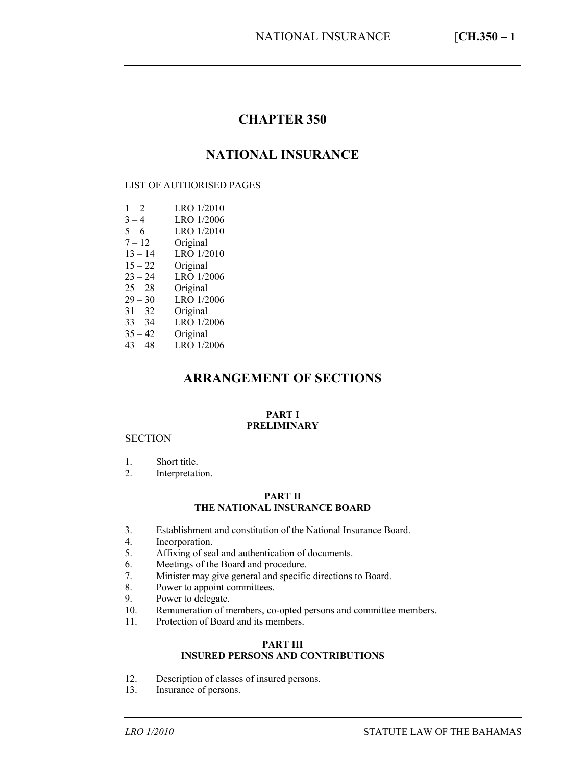# **CHAPTER 350**

# **NATIONAL INSURANCE**

### LIST OF AUTHORISED PAGES

| $1 - 2$   | LRO 1/2010 |
|-----------|------------|
| $3 - 4$   | LRO 1/2006 |
| $5 - 6$   | LRO 1/2010 |
| $7 - 12$  | Original   |
| $13 - 14$ | LRO 1/2010 |
| $15 - 22$ | Original   |
| $23 - 24$ | LRO 1/2006 |
| $25 - 28$ | Original   |
| $29 - 30$ | LRO 1/2006 |
| $31 - 32$ | Original   |
| $33 - 34$ | LRO 1/2006 |
| $35 - 42$ | Original   |
| $43 - 48$ | LRO 1/2006 |

# **ARRANGEMENT OF SECTIONS**

### **PART I PRELIMINARY**

### **SECTION**

- 1. Short title.
- 2. Interpretation.

### **PART II THE NATIONAL INSURANCE BOARD**

- 3. Establishment and constitution of the National Insurance Board.
- 4. Incorporation.
- 5. Affixing of seal and authentication of documents.
- 6. Meetings of the Board and procedure.
- 7. Minister may give general and specific directions to Board.
- 8. Power to appoint committees.
- 9. Power to delegate.
- 10. Remuneration of members, co-opted persons and committee members.
- 11. Protection of Board and its members.

### **PART III INSURED PERSONS AND CONTRIBUTIONS**

- 12. Description of classes of insured persons.
- 13. Insurance of persons.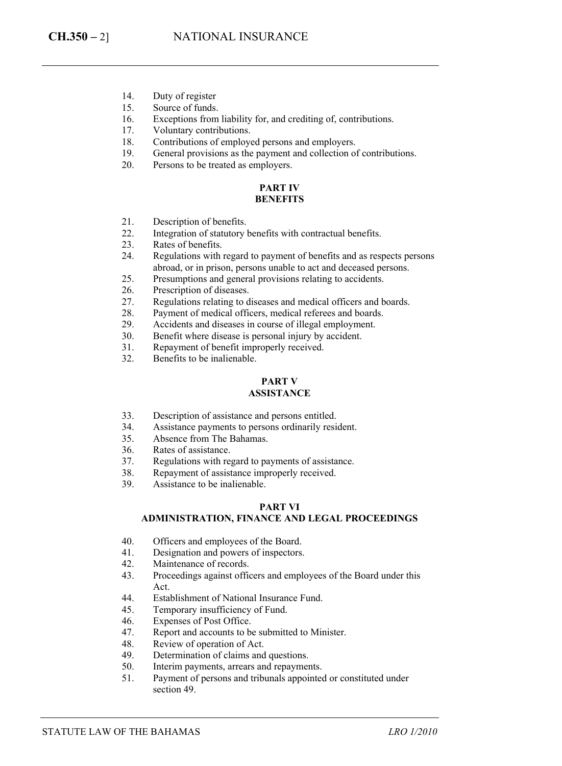- 14. Duty of register
- 15. Source of funds.
- 16. Exceptions from liability for, and crediting of, contributions.
- 17. Voluntary contributions.
- 18. Contributions of employed persons and employers.<br>19. General provisions as the payment and collection of
- General provisions as the payment and collection of contributions.
- 20. Persons to be treated as employers.

### **PART IV BENEFITS**

- 21. Description of benefits.
- 22. Integration of statutory benefits with contractual benefits.
- 23. Rates of benefits.
- 24. Regulations with regard to payment of benefits and as respects persons abroad, or in prison, persons unable to act and deceased persons.
- 25. Presumptions and general provisions relating to accidents.
- 26. Prescription of diseases.
- 27. Regulations relating to diseases and medical officers and boards.
- 28. Payment of medical officers, medical referees and boards.
- 29. Accidents and diseases in course of illegal employment.
- 30. Benefit where disease is personal injury by accident.
- 31. Repayment of benefit improperly received.
- 32. Benefits to be inalienable.

### **PART V**

### **ASSISTANCE**

- 33. Description of assistance and persons entitled.
- 34. Assistance payments to persons ordinarily resident.
- 35. Absence from The Bahamas.
- 36. Rates of assistance.
- 37. Regulations with regard to payments of assistance.
- 38. Repayment of assistance improperly received.
- 39. Assistance to be inalienable.

#### **PART VI ADMINISTRATION, FINANCE AND LEGAL PROCEEDINGS**

- 40. Officers and employees of the Board.
- 41. Designation and powers of inspectors.
- 42. Maintenance of records.
- 43. Proceedings against officers and employees of the Board under this Act.
- 44. Establishment of National Insurance Fund.
- 45. Temporary insufficiency of Fund.
- 46. Expenses of Post Office.
- 47. Report and accounts to be submitted to Minister.
- 48. Review of operation of Act.
- 49. Determination of claims and questions.
- 50. Interim payments, arrears and repayments.
- 51. Payment of persons and tribunals appointed or constituted under section 49.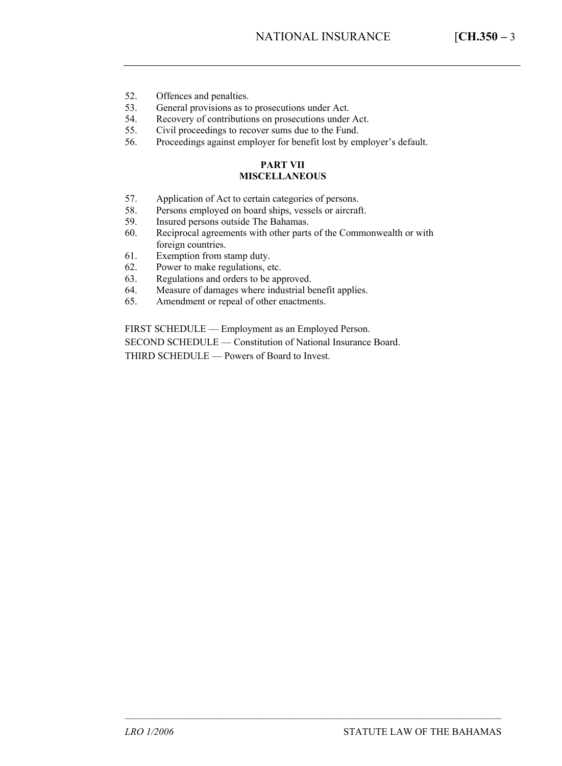- 52. Offences and penalties.
- 53. General provisions as to prosecutions under Act.
- 54. Recovery of contributions on prosecutions under Act.
- 55. Civil proceedings to recover sums due to the Fund.
- 56. Proceedings against employer for benefit lost by employer's default.

### **PART VII MISCELLANEOUS**

- 57. Application of Act to certain categories of persons.
- 58. Persons employed on board ships, vessels or aircraft.<br>59. Insured persons outside The Bahamas.
- Insured persons outside The Bahamas.
- 60. Reciprocal agreements with other parts of the Commonwealth or with foreign countries.
- 61. Exemption from stamp duty.
- 62. Power to make regulations, etc.
- 63. Regulations and orders to be approved.
- 64. Measure of damages where industrial benefit applies.
- 65. Amendment or repeal of other enactments.

FIRST SCHEDULE — Employment as an Employed Person.

SECOND SCHEDULE — Constitution of National Insurance Board.

THIRD SCHEDULE — Powers of Board to Invest.

––––––––––––––––––––––––––––––––––––––––––––––––––––––––––––––––––––––––––––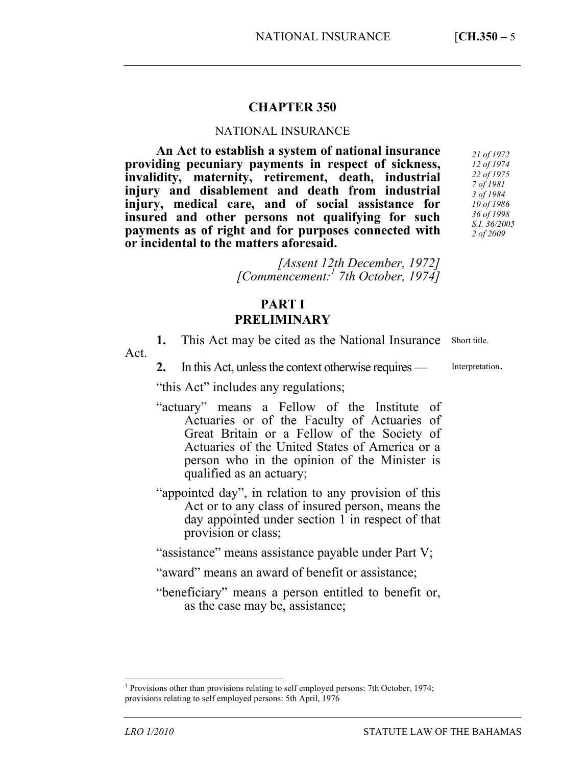## **CHAPTER 350**

## NATIONAL INSURANCE

**An Act to establish a system of national insurance providing pecuniary payments in respect of sickness,**   $i$ **h**  $i$ **h**  $j$ **h**  $k$  **maternity**, retirement, death, [in](#page-4-0)dustrial **injury and disablement and death from industrial injury, medical care, and of social assistance for insured and other persons not qualifying for such payments as of right and for purposes connected with or incidental to the matters aforesaid.** 

*[Assent 12th December, 1972] [Commencement:1 7th October, 1974]* 

# **PART I PRELIMINARY**

**1.** This Act may be cited as the National Insurance Act. Short title.

**2.** In this Act, unless the context otherwise requires —

Interpretation.

"this Act" includes any regulations;

- "actuary" means a Fellow of the Institute of Actuaries or of the Faculty of Actuaries of Great Britain or a Fellow of the Society of Actuaries of the United States of America or a person who in the opinion of the Minister is qualified as an actuary;
- "appointed day", in relation to any provision of this Act or to any class of insured person, means the day appointed under section 1 in respect of that provision or class;

"assistance" means assistance payable under Part V;

- "award" means an award of benefit or assistance;
- "beneficiary" means a person entitled to benefit or, as the case may be, assistance;

 $\overline{a}$ 

<span id="page-4-0"></span><sup>1</sup> Provisions other than provisions relating to self employed persons: 7th October, 1974; provisions relating to self employed persons: 5th April, 1976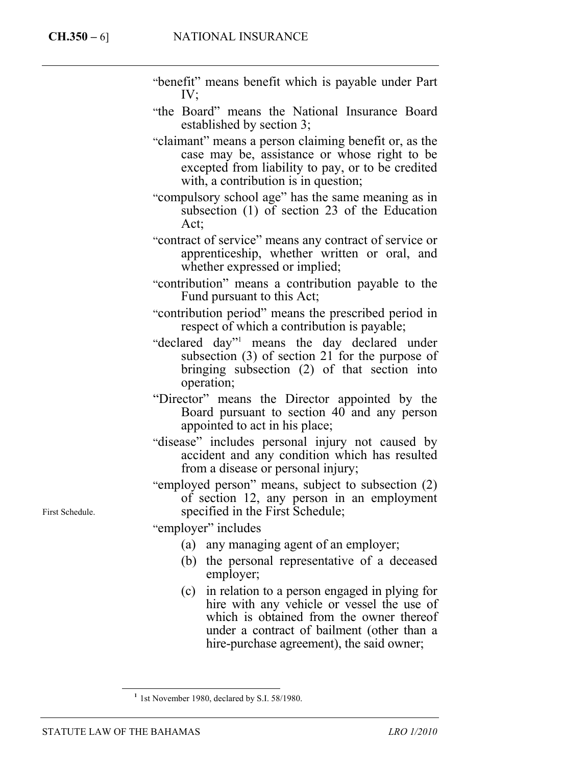- "benefit" means benefit which is payable under Part IV;
- "the Board" means the National Insurance Board established by section 3;
- "claimant" means a person claiming benefit or, as the case may be, assistance or whose right to be excepted from liability to pay, or to be credited with, a contribution is in question;
- "compulsory school age" has the same meaning as in subsection (1) of section 23 of the Education Act;
- "contract of service" mean[s](#page-5-0) any contract of service or apprenticeship, whether written or oral, and whether expressed or implied;
- "contribution" means a contribution payable to the Fund pursuant to this Act;
- "contribution period" means the prescribed period in respect of which a contribution is payable;
- "declared day"1 means the day declared under subsection (3) of section 21 for the purpose of bringing subsection (2) of that section into operation;
- "Director" means the Director appointed by the Board pursuant to section 40 and any person appointed to act in his place;
- "disease" includes personal injury not caused by accident and any condition which has resulted from a disease or personal injury;
- "employed person" means, subject to subsection (2) of section 12, any person in an employment specified in the First Schedule;

"employer" includes

- (a) any managing agent of an employer;
- (b) the personal representative of a deceased employer;
- (c) in relation to a person engaged in plying for hire with any vehicle or vessel the use of which is obtained from the owner thereof under a contract of bailment (other than a hire-purchase agreement), the said owner;

First Schedule.

1

<span id="page-5-0"></span>**<sup>1</sup>** 1st November 1980, declared by S.I. 58/1980.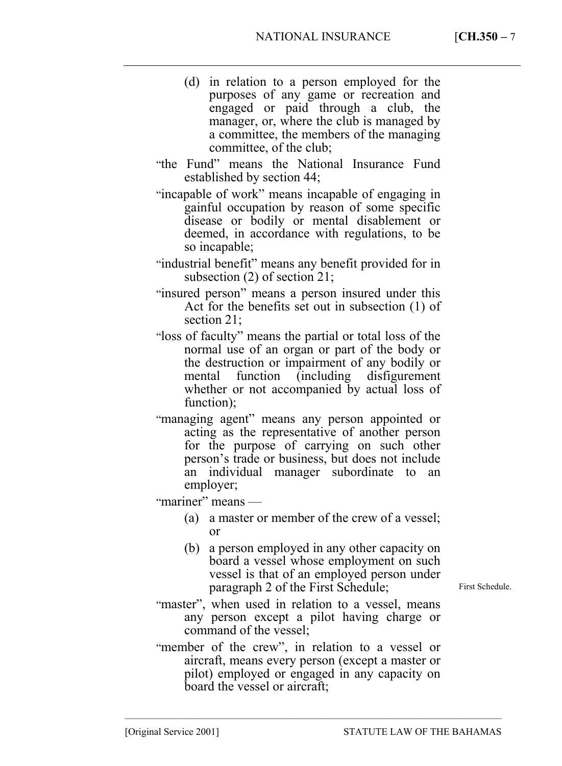- (d) in relation to a person employed for the purposes of any game or recreation and engaged or paid through a club, the manager, or, where the club is managed by a committee, the members of the managing committee, of the club;
- "the Fund" means the National Insurance Fund established by section 44;
- "incapable of work" means incapable of engaging in gainful occupation by reason of some specific disease or bodily or mental disablement or deemed, in accordance with regulations, to be so incapable;
- "industrial benefit" means any benefit provided for in subsection (2) of section 21;
- "insured person" means a person insured under this Act for the benefits set out in subsection (1) of section 21;
- "loss of faculty" means the partial or total loss of the normal use of an organ or part of the body or the destruction or impairment of any bodily or mental function (including disfigurement whether or not accompanied by actual loss of function);
- "managing agent" means any person appointed or acting as the representative of another person for the purpose of carrying on such other person's trade or business, but does not include an individual manager subordinate to employer;

"mariner" means —

- (a) a master or member of the crew of a vessel; or
- (b) a person employed in any other capacity on board a vessel whose employment on such vessel is that of an employed person under paragraph 2 of the First Schedule;
- "master", when used in relation to a vessel, means any person except a pilot having charge or command of the vessel;
- "member of the crew", in relation to a vessel or aircraft, means every person (except a master or pilot) employed or engaged in any capacity on board the vessel or aircraft;

––––––––––––––––––––––––––––––––––––––––––––––––––––––––––––––––––––––––––––

First Schedule.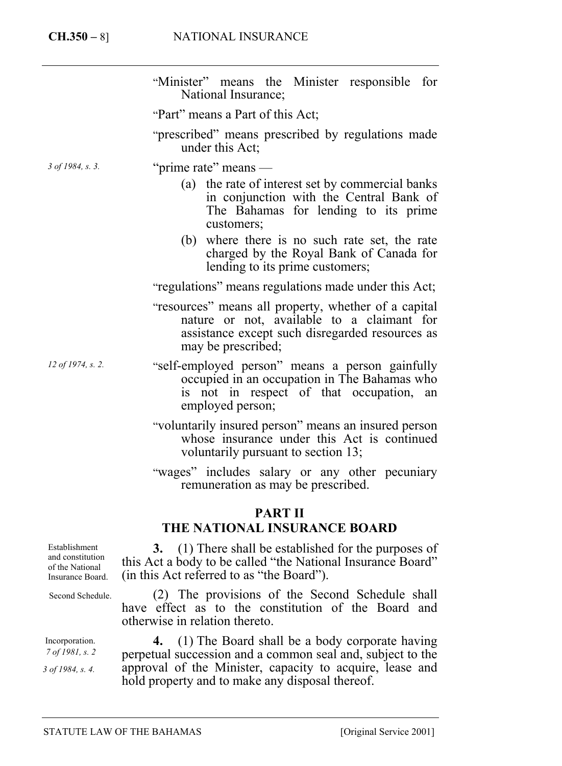|                   | "Minister" means the Minister responsible for<br>National Insurance;                                                                                                        |  |
|-------------------|-----------------------------------------------------------------------------------------------------------------------------------------------------------------------------|--|
|                   | "Part" means a Part of this Act;                                                                                                                                            |  |
|                   | "prescribed" means prescribed by regulations made<br>under this Act;                                                                                                        |  |
| 3 of 1984, s. 3.  | "prime rate" means —                                                                                                                                                        |  |
|                   | (a) the rate of interest set by commercial banks<br>in conjunction with the Central Bank of<br>The Bahamas for lending to its prime<br>customers;                           |  |
|                   | (b) where there is no such rate set, the rate<br>charged by the Royal Bank of Canada for<br>lending to its prime customers;                                                 |  |
|                   | "regulations" means regulations made under this Act;                                                                                                                        |  |
|                   | "resources" means all property, whether of a capital<br>nature or not, available to a claimant for<br>assistance except such disregarded resources as<br>may be prescribed; |  |
| 12 of 1974, s. 2. | "self-employed person" means a person gainfully<br>occupied in an occupation in The Bahamas who<br>is not in respect of that occupation,<br>an<br>employed person;          |  |
|                   | "voluntarily insured person" means an insured person<br>whose insurance under this Act is continued<br>voluntarily pursuant to section 13;                                  |  |
|                   | "wages" includes salary or any other pecuniary<br>remuneration as may be prescribed.                                                                                        |  |

# **PART II**

# **THE NATIONAL INSURANCE BOARD**

Establishment and constitution of the National Insurance Board.

Second Schedule.

Incorporation. *7 of 1981, s. 2* 

*3 of 1984, s. 4.* 

**3.** (1) There shall be established for the purposes of this Act a body to be called "the National Insurance Board" (in this Act referred to as "the Board").

(2) The provisions of the Second Schedule shall have effect as to the constitution of the Board and otherwise in relation thereto.

**4.** (1) The Board shall be a body corporate having perpetual succession and a common seal and, subject to the approval of the Minister, capacity to acquire, lease and hold property and to make any disposal thereof.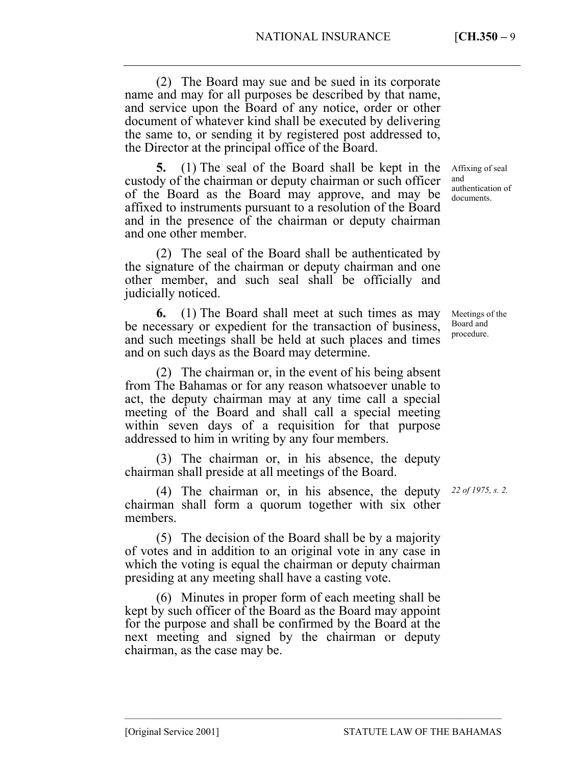(2) The Board may sue and be sued in its corporate name and may for all purposes be described by that name, and service upon the Board of any notice, order or other document of whatever kind shall be executed by delivering the same to, or sending it by registered post addressed to, the Director at the principal office of the Board.

**5.** (1) The seal of the Board shall be kept in the custody of the chairman or deputy chairman or such officer of the Board as the Board may approve, and may be affixed to instruments pursuant to a resolution of the Board and in the presence of the chairman or deputy chairman and one other member.

(2) The seal of the Board shall be authenticated by the signature of the chairman or deputy chairman and one other member, and such seal shall be officially and judicially noticed.

**6.** (1) The Board shall meet at such times as may be necessary or expedient for the transaction of business, and such meetings shall be held at such places and times and on such days as the Board may determine.

(2) The chairman or, in the event of his being absent from The Bahamas or for any reason whatsoever unable to act, the deputy chairman may at any time call a special meeting of the Board and shall call a special meeting within seven days of a requisition for that purpose addressed to him in writing by any four members.

(3) The chairman or, in his absence, the deputy chairman shall preside at all meetings of the Board.

(4) The chairman or, in his absence, the deputy *22 of 1975, s. 2.* chairman shall form a quorum together with six other members.

(5) The decision of the Board shall be by a majority of votes and in addition to an original vote in any case in which the voting is equal the chairman or deputy chairman presiding at any meeting shall have a casting vote.

(6) Minutes in proper form of each meeting shall be kept by such officer of the Board as the Board may appoint for the purpose and shall be confirmed by the Board at the next meeting and signed by the chairman or deputy chairman, as the case may be.

––––––––––––––––––––––––––––––––––––––––––––––––––––––––––––––––––––––––––––

Affixing of seal and authentication of documents.

Meetings of the Board and procedure.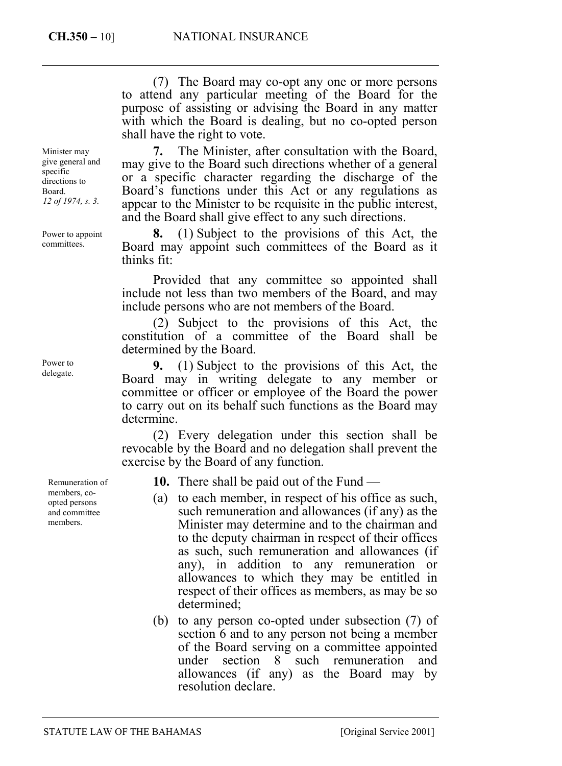(7) The Board may co-opt any one or more persons to attend any particular meeting of the Board for the purpose of assisting or advising the Board in any matter with which the Board is dealing, but no co-opted person shall have the right to vote.

**7.** The Minister, after consultation with the Board, may give to the Board such directions whether of a general or a specific character regarding the discharge of the Board's functions under this Act or any regulations as appear to the Minister to be requisite in the public interest, and the Board shall give effect to any such directions.

**8.** (1) Subject to the provisions of this Act, the Board may appoint such committees of the Board as it thinks fit:

Provided that any committee so appointed shall include not less than two members of the Board, and may include persons who are not members of the Board.

(2) Subject to the provisions of this Act, the constitution of a committee of the Board shall be determined by the Board.

**9.** (1) Subject to the provisions of this Act, the Board may in writing delegate to any member or committee or officer or employee of the Board the power to carry out on its behalf such functions as the Board may determine.

(2) Every delegation under this section shall be revocable by the Board and no delegation shall prevent the exercise by the Board of any function.

**10.** There shall be paid out of the Fund —

- (a) to each member, in respect of his office as such, such remuneration and allowances (if any) as the Minister may determine and to the chairman and to the deputy chairman in respect of their offices as such, such remuneration and allowances (if any), in addition to any remuneration or allowances to which they may be entitled in respect of their offices as members, as may be so determined;
- (b) to any person co-opted under subsection (7) of section 6 and to any person not being a member of the Board serving on a committee appointed under section 8 such remuneration and allowances (if any) as the Board may by resolution declare.

Minister may give general and specific directions to Board. *12 of 1974, s. 3.*

Power to appoint committees.

Power to delegate.

> Remuneration of members, coopted persons and committee members.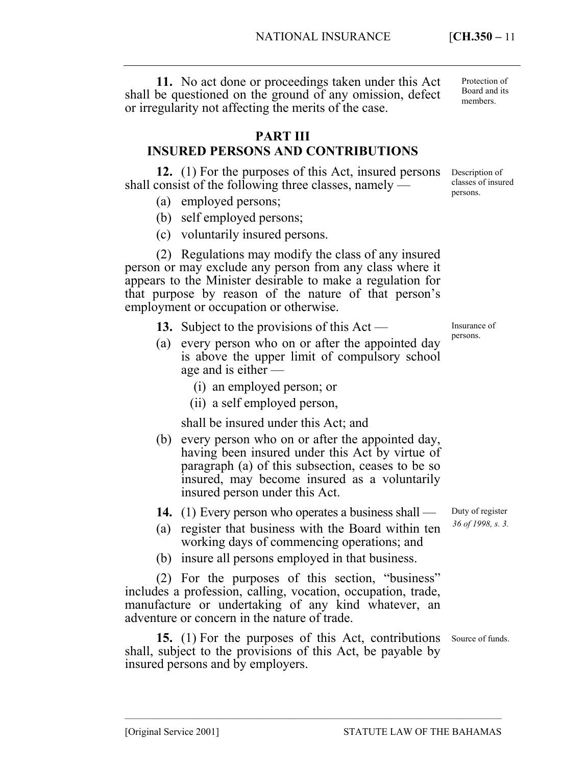**11.** No act done or proceedings taken under this Act shall be questioned on the ground of any omission, defect or irregularity not affecting the merits of the case.

## **PART III**

# **INSURED PERSONS AND CONTRIBUTIONS**

**12.** (1) For the purposes of this Act, insured persons shall consist of the following three classes, namely —

- (a) employed persons;
- (b) self employed persons;
- (c) voluntarily insured persons.

(2) Regulations may modify the class of any insured person or may exclude any person from any class where it appears to the Minister desirable to make a regulation for that purpose by reason of the nature of that person's employment or occupation or otherwise.

- **13.** Subject to the provisions of this Act —
- (a) every person who on or after the appointed day is above the upper limit of compulsory school age and is either —
	- (i) an employed person; or
	- (ii) a self employed person,

shall be insured under this Act; and

(b) every person who on or after the appointed day, having been insured under this Act by virtue of paragraph (a) of this subsection, ceases to be so insured, may become insured as a voluntarily insured person under this Act.

**14.** (1) Every person who operates a business shall —

- (a) register that business with the Board within ten working days of commencing operations; and
- (b) insure all persons employed in that business.

(2) For the purposes of this section, "business" includes a profession, calling, vocation, occupation, trade, manufacture or undertaking of any kind whatever, an adventure or concern in the nature of trade.

15. (1) For the purposes of this Act, contributions Source of funds. shall, subject to the provisions of this Act, be payable by insured persons and by employers.

––––––––––––––––––––––––––––––––––––––––––––––––––––––––––––––––––––––––––––

Insurance of persons.

Duty of register *36 of 1998, s. 3.* 

Protection of Board and its members.

Description of classes of insured persons.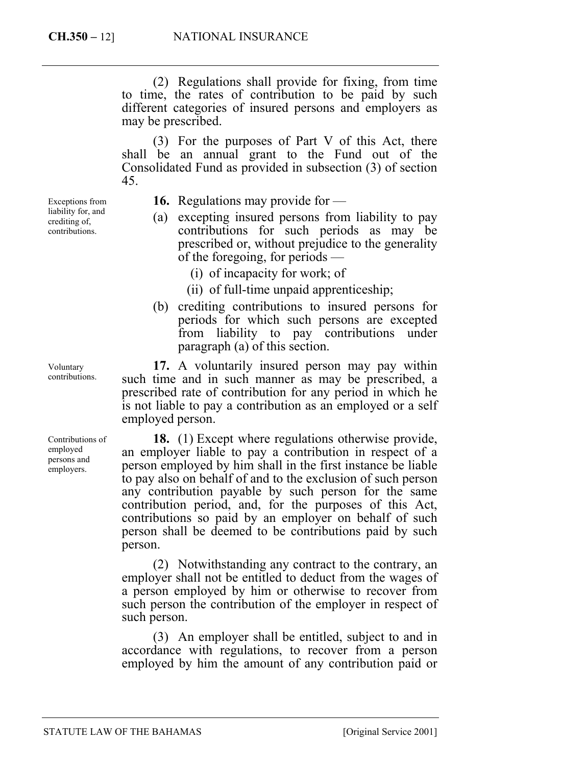(2) Regulations shall provide for fixing, from time to time, the rates of contribution to be paid by such different categories of insured persons and employers as may be prescribed.

(3) For the purposes of Part V of this Act, there shall be an annual grant to the Fund out of the Consolidated Fund as provided in subsection (3) of section 45.

Exceptions from liability for, and crediting of, contributions.

**16.** Regulations may provide for —

- (a) excepting insured persons from liability to pay contributions for such periods as may be prescribed or, without prejudice to the generality of the foregoing, for periods —
	- (i) of incapacity for work; of
	- (ii) of full-time unpaid apprenticeship;
- (b) crediting contributions to insured persons for periods for which such persons are excepted from liability to pay contributions under paragraph (a) of this section.

**17.** A voluntarily insured person may pay within such time and in such manner as may be prescribed, a prescribed rate of contribution for any period in which he is not liable to pay a contribution as an employed or a self employed person.

**18.** (1) Except where regulations otherwise provide, an employer liable to pay a contribution in respect of a person employed by him shall in the first instance be liable to pay also on behalf of and to the exclusion of such person any contribution payable by such person for the same contribution period, and, for the purposes of this Act, contributions so paid by an employer on behalf of such person shall be deemed to be contributions paid by such person.

(2) Notwithstanding any contract to the contrary, an employer shall not be entitled to deduct from the wages of a person employed by him or otherwise to recover from such person the contribution of the employer in respect of such person.

(3) An employer shall be entitled, subject to and in accordance with regulations, to recover from a person employed by him the amount of any contribution paid or

Voluntary contributions.

Contributions of employed persons and employers.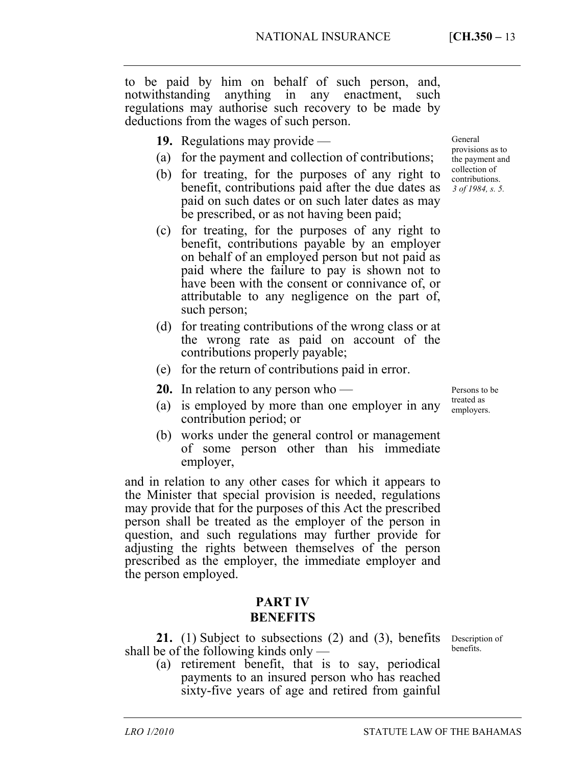to be paid by him on behalf of such person, and, notwithstanding anything in any enactment, such regulations may authorise such recovery to be made by deductions from the wages of such person.

- **19.** Regulations may provide —
- (a) for the payment and collection of contributions;
- (b) for treating, for the purposes of any right to benefit, contributions paid after the due dates as paid on such dates or on such later dates as may be prescribed, or as not having been paid;
- (c) for treating, for the purposes of any right to benefit, contributions payable by an employer on behalf of an employed person but not paid as paid where the failure to pay is shown not to have been with the consent or connivance of, or attributable to any negligence on the part of, such person;
- (d) for treating contributions of the wrong class or at the wrong rate as paid on account of the contributions properly payable;
- (e) for the return of contributions paid in error.
- **20.** In relation to any person who —

Persons to be treated as employers.

- (a) is employed by more than one employer in any contribution period; or
- (b) works under the general control or management of some person other than his immediate employer,

and in relation to any other cases for which it appears to the Minister that special provision is needed, regulations may provide that for the purposes of this Act the prescribed person shall be treated as the employer of the person in question, and such regulations may further provide for adjusting the rights between themselves of the person prescribed as the employer, the immediate employer and the person employed.

## **PART IV BENEFITS**

21. (1) Subject to subsections (2) and (3), benefits Description of shall be of the following kinds only —

(a) retirement benefit, that is to say, periodical payments to an insured person who has reached sixty-five years of age and retired from gainful

General provisions as to the payment and collection of contributions. *3 of 1984, s. 5.* 

benefits.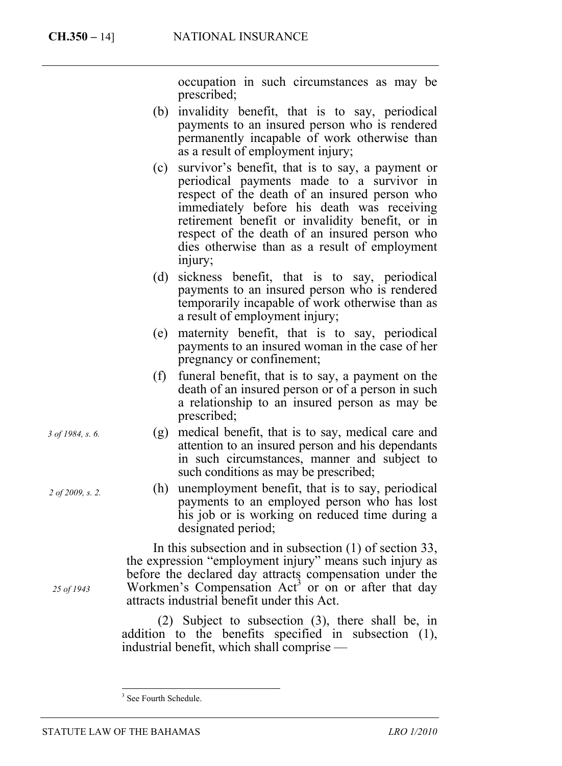occupation in such circumstances as may be prescribed;

- (b) invalidity benefit, that is to say, periodical payments to an insured person who is rendered permanently incapable of work otherwise than as a result of employment injury;
- (c) survivor's benefit, that is to say, a payment or periodical payments made to a survivor in respect of the death of an insured person who immediately before his death was receiving retirement benefit or invalidity benefit, or in respect of the death of an insured person who dies otherwise than as a result of employment injury;
- (d) sickness benefit, that is to say, periodical payments to an insured person who is rendered temporarily incapable of work otherwise than as a result of employment injury;
- (e) maternity benefit, that is to say, periodical payments to an insured woman in the case of her pregnancy or confinement;
- (f) funeral benefit, that is to say, a payment on the death of an insured person or of a person in such a relationship to an insured person as may be prescribed;
- (g) medical benefit, that is to say, medical care and attention to an insured person and his dependants in such circumstances, manner and subject to such conditions as may be prescribed;
- (h) unemployment benefit, that is to [s](#page-13-0)ay, periodical payments to an employed person who has lost his job or is working on reduced time during a designated period;

In this subsection and in subsection (1) of section 33, the expression "employment injury" means such injury as before the declared day attracts compensation under the Workmen's Compensation  $Act<sup>3</sup>$  or on or after that day attracts industrial benefit under this Act.

(2) Subject to subsection (3), there shall be, in addition to the benefits specified in subsection (1), industrial benefit, which shall comprise —

*2 of 2009, s. 2.* 

*25 of 1943* 

*3 of 1984, s. 6.* 

STATUTE LAW OF THE BAHAMAS *LRO 1/2010*

<span id="page-13-0"></span><sup>&</sup>lt;sup>3</sup> See Fourth Schedule.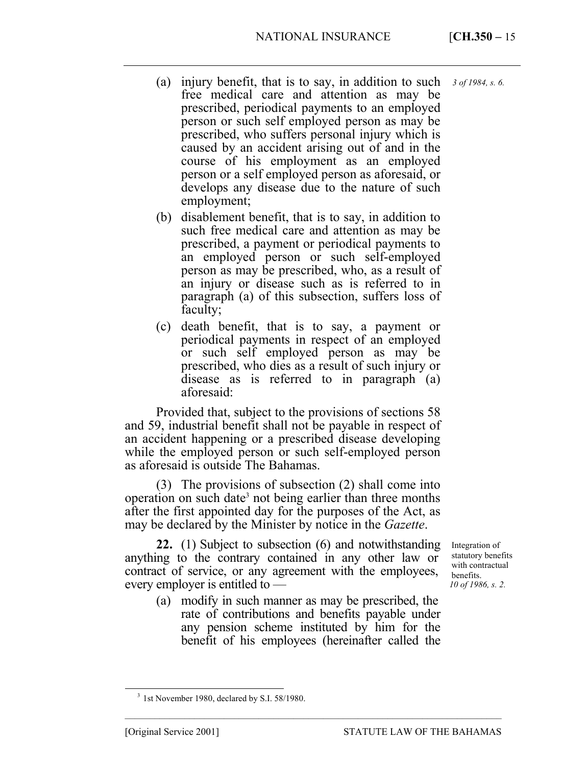- (a) injury benefit, that is to say, in addition to such free medical care and attention as may be prescribed, periodical payments to an employed person or such self employed person as may be prescribed, who suffers personal injury which is caused by an accident arising out of and in the course of his employment as an employed person or a self employed person as aforesaid, or develops any disease due to the nature of such employment; *3 of 1984, s. 6.*
- (b) disablement benefit, that is to say, in addition to such free medical care and attention as may be prescribed, a payment or periodical payments to an employed person or such self-employed person as may be prescribed, who, as a result of an injury or disease such as is referred to in paragraph (a) of this subsection, suffers loss of faculty;
- (c) death benefit, that is to say, a payment or periodical payments in respect of an employed or such self employed person as may be prescribed, who dies as a result of such injury or disease as is referred to in paragraph (a) aforesaid:

Provided that, subject to the provisions of sections 58 and 59, industrial benefit shall not be payable in respect of an accident happening or a prescribed disease developing while the employed person or such self-employed person as aforesaid is outside The Bahamas.

(3) The provisions of subsection (2) shall come into operation on such date<sup>3</sup> not being earlier than three months after the first appointed day for the purposes of the Act, as may be declared by the Minister by notice in the *Gazette*.

**22.** (1) Subject to subsection (6) and notwithstanding anything to the contrary contained in any other law or contract of service, or any agreement with the employees, every employer is entitled to —

(a) modify in such manner as may be prescribed, the rate of contributions and benefits payable under any pension scheme instituted by him for the benefit of his employees (hereinafter called the

––––––––––––––––––––––––––––––––––––––––––––––––––––––––––––––––––––––––––––

Integration of statutory benefits with contractual benefits. *10 of 1986, s. 2.* 

<sup>&</sup>lt;sup>3</sup> 1st November 1980, declared by S.I. 58/1980.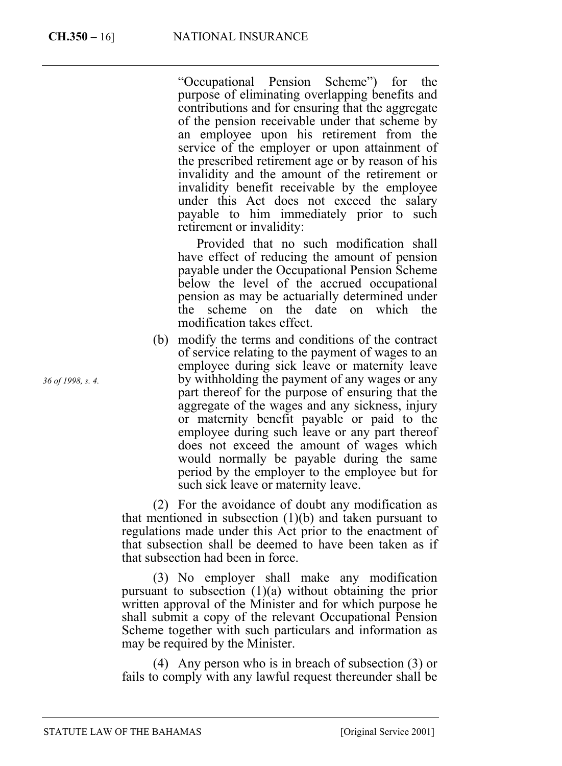"Occupational Pension Scheme") for the purpose of eliminating overlapping benefits and contributions and for ensuring that the aggregate of the pension receivable under that scheme by an employee upon his retirement from the service of the employer or upon attainment of the prescribed retirement age or by reason of his invalidity and the amount of the retirement or invalidity benefit receivable by the employee under this Act does not exceed the salary payable to him immediately prior to such retirement or invalidity:

 Provided that no such modification shall have effect of reducing the amount of pension payable under the Occupational Pension Scheme below the level of the accrued occupational pension as may be actuarially determined under the scheme on the date on which the modification takes effect.

(b) modify the terms and conditions of the contract of service relating to the payment of wages to an employee during sick leave or maternity leave by withholding the payment of any wages or any part thereof for the purpose of ensuring that the aggregate of the wages and any sickness, injury or maternity benefit payable or paid to the employee during such leave or any part thereof does not exceed the amount of wages which would normally be payable during the same period by the employer to the employee but for such sick leave or maternity leave.

(2) For the avoidance of doubt any modification as that mentioned in subsection  $(1)(b)$  and taken pursuant to regulations made under this Act prior to the enactment of that subsection shall be deemed to have been taken as if that subsection had been in force.

(3) No employer shall make any modification pursuant to subsection  $(1)(a)$  without obtaining the prior written approval of the Minister and for which purpose he shall submit a copy of the relevant Occupational Pension Scheme together with such particulars and information as may be required by the Minister.

(4) Any person who is in breach of subsection (3) or fails to comply with any lawful request thereunder shall be

*36 of 1998, s. 4.* 

STATUTE LAW OF THE BAHAMAS [Original Service 2001]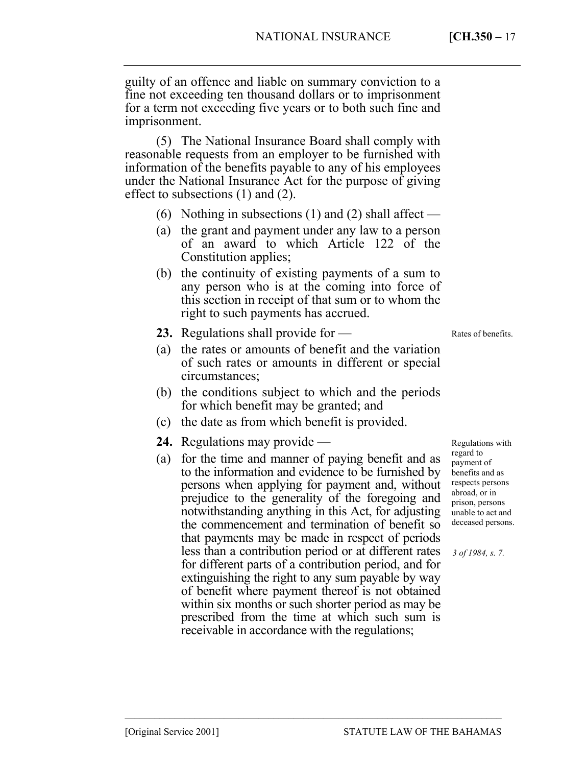guilty of an offence and liable on summary conviction to a fine not exceeding ten thousand dollars or to imprisonment for a term not exceeding five years or to both such fine and imprisonment.

(5) The National Insurance Board shall comply with reasonable requests from an employer to be furnished with information of the benefits payable to any of his employees under the National Insurance Act for the purpose of giving effect to subsections (1) and (2).

- (6) Nothing in subsections (1) and (2) shall affect —
- (a) the grant and payment under any law to a person of an award to which Article 122 of the Constitution applies;
- (b) the continuity of existing payments of a sum to any person who is at the coming into force of this section in receipt of that sum or to whom the right to such payments has accrued.
- **23.** Regulations shall provide for —

(a) the rates or amounts of benefit and the variation of such rates or amounts in different or special circumstances;

- (b) the conditions subject to which and the periods for which benefit may be granted; and
- (c) the date as from which benefit is provided.
- **24.** Regulations may provide —
- (a) for the time and manner of paying benefit and as to the information and evidence to be furnished by persons when applying for payment and, without prejudice to the generality of the foregoing and notwithstanding anything in this Act, for adjusting the commencement and termination of benefit so that payments may be made in respect of periods less than a contribution period or at different rates for different parts of a contribution period, and for extinguishing the right to any sum payable by way of benefit where payment thereof is not obtained within six months or such shorter period as may be prescribed from the time at which such sum is receivable in accordance with the regulations;

––––––––––––––––––––––––––––––––––––––––––––––––––––––––––––––––––––––––––––

Regulations with regard to payment of benefits and as respects persons abroad, or in prison, persons unable to act and deceased persons.

Rates of benefits.

*3 of 1984, s. 7.*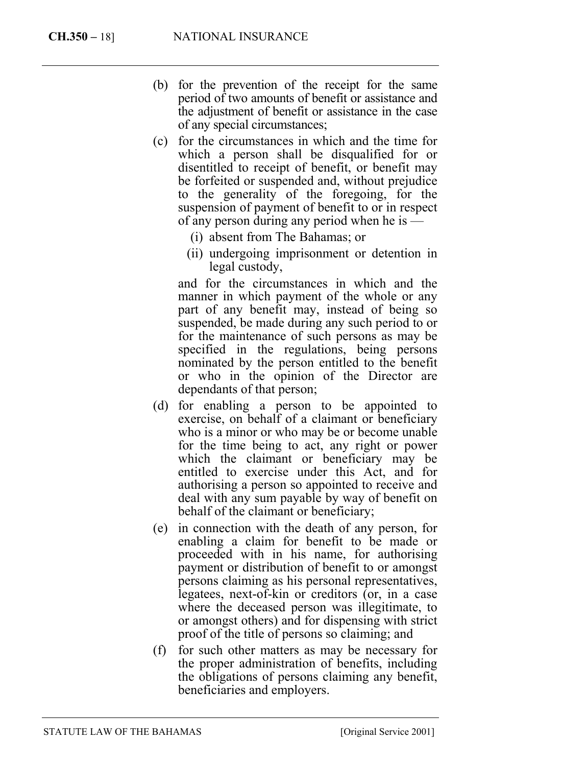- (b) for the prevention of the receipt for the same period of two amounts of benefit or assistance and the adjustment of benefit or assistance in the case of any special circumstances;
- (c) for the circumstances in which and the time for which a person shall be disqualified for or disentitled to receipt of benefit, or benefit may be forfeited or suspended and, without prejudice to the generality of the foregoing, for the suspension of payment of benefit to or in respect of any person during any period when he is —
	- (i) absent from The Bahamas; or
	- (ii) undergoing imprisonment or detention in legal custody,

and for the circumstances in which and the manner in which payment of the whole or any part of any benefit may, instead of being so suspended, be made during any such period to or for the maintenance of such persons as may be specified in the regulations, being persons nominated by the person entitled to the benefit or who in the opinion of the Director are dependants of that person;

- (d) for enabling a person to be appointed to exercise, on behalf of a claimant or beneficiary who is a minor or who may be or become unable for the time being to act, any right or power which the claimant or beneficiary may be entitled to exercise under this Act, and for authorising a person so appointed to receive and deal with any sum payable by way of benefit on behalf of the claimant or beneficiary;
- (e) in connection with the death of any person, for enabling a claim for benefit to be made or proceeded with in his name, for authorising payment or distribution of benefit to or amongst persons claiming as his personal representatives, legatees, next-of-kin or creditors (or, in a case where the deceased person was illegitimate, to or amongst others) and for dispensing with strict proof of the title of persons so claiming; and
- (f) for such other matters as may be necessary for the proper administration of benefits, including the obligations of persons claiming any benefit, beneficiaries and employers.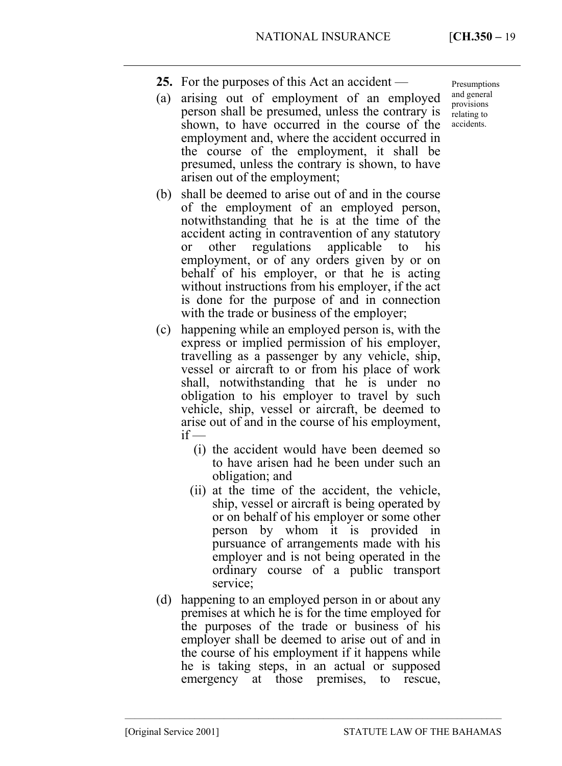- **25.** For the purposes of this Act an accident —
- (a) arising out of employment of an employed person shall be presumed, unless the contrary is shown, to have occurred in the course of the employment and, where the accident occurred in the course of the employment, it shall be presumed, unless the contrary is shown, to have arisen out of the employment;
- (b) shall be deemed to arise out of and in the course of the employment of an employed person, notwithstanding that he is at the time of the accident acting in contravention of any statutory or other regulations applicable to his employment, or of any orders given by or on behalf of his employer, or that he is acting without instructions from his employer, if the act is done for the purpose of and in connection with the trade or business of the employer;
- (c) happening while an employed person is, with the express or implied permission of his employer, travelling as a passenger by any vehicle, ship, vessel or aircraft to or from his place of work shall, notwithstanding that he is under no obligation to his employer to travel by such vehicle, ship, vessel or aircraft, be deemed to arise out of and in the course of his employment,  $if$  —
	- (i) the accident would have been deemed so to have arisen had he been under such an obligation; and
	- (ii) at the time of the accident, the vehicle, ship, vessel or aircraft is being operated by or on behalf of his employer or some other person by whom it is provided in pursuance of arrangements made with his employer and is not being operated in the ordinary course of a public transport service;
- (d) happening to an employed person in or about any premises at which he is for the time employed for the purposes of the trade or business of his employer shall be deemed to arise out of and in the course of his employment if it happens while he is taking steps, in an actual or supposed emergency at those premises, to rescue,

––––––––––––––––––––––––––––––––––––––––––––––––––––––––––––––––––––––––––––

Presumptions and general provisions relating to accidents.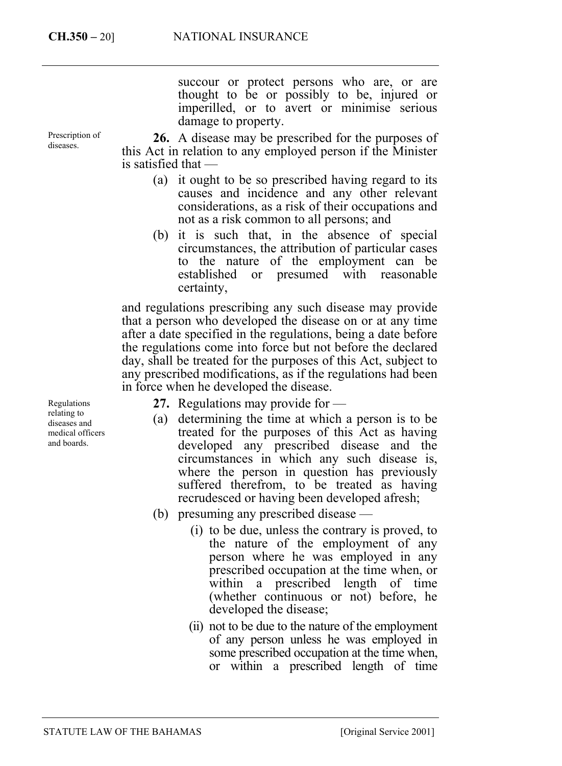Prescription of diseases.

succour or protect persons who are, or are thought to be or possibly to be, injured or imperilled, or to avert or minimise serious damage to property.

**26.** A disease may be prescribed for the purposes of this Act in relation to any employed person if the Minister is satisfied that —

- (a) it ought to be so prescribed having regard to its causes and incidence and any other relevant considerations, as a risk of their occupations and not as a risk common to all persons; and
- (b) it is such that, in the absence of special circumstances, the attribution of particular cases to the nature of the employment can be established or presumed with reasonable certainty,

and regulations prescribing any such disease may provide that a person who developed the disease on or at any time after a date specified in the regulations, being a date before the regulations come into force but not before the declared day, shall be treated for the purposes of this Act, subject to any prescribed modifications, as if the regulations had been in force when he developed the disease.

Regulations relating to diseases and medical officers and boards.

- **27.** Regulations may provide for —
- (a) determining the time at which a person is to be treated for the purposes of this Act as having developed any prescribed disease and the circumstances in which any such disease is, where the person in question has previously suffered therefrom, to be treated as having recrudesced or having been developed afresh;
- (b) presuming any prescribed disease
	- (i) to be due, unless the contrary is proved, to the nature of the employment of any person where he was employed in any prescribed occupation at the time when, or within a prescribed length of time (whether continuous or not) before, he developed the disease;
	- (ii) not to be due to the nature of the employment of any person unless he was employed in some prescribed occupation at the time when, or within a prescribed length of time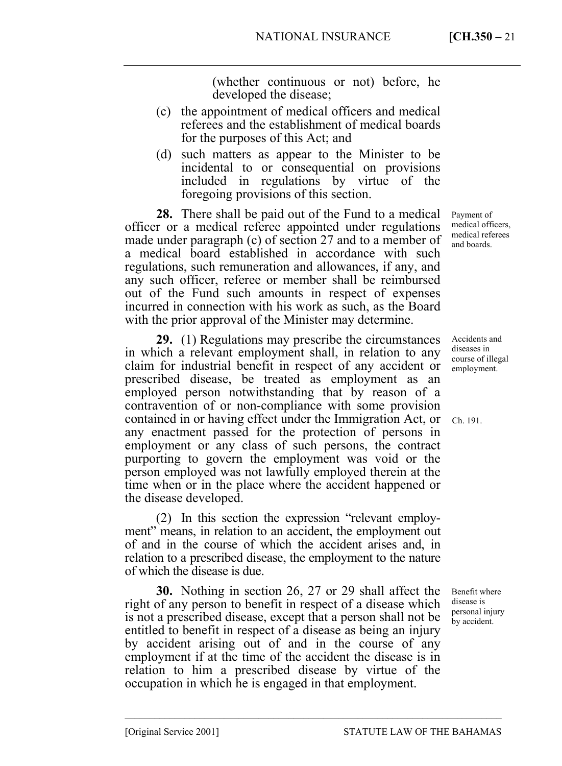(whether continuous or not) before, he developed the disease;

- (c) the appointment of medical officers and medical referees and the establishment of medical boards for the purposes of this Act; and
- (d) such matters as appear to the Minister to be incidental to or consequential on provisions included in regulations by virtue of the foregoing provisions of this section.

**28.** There shall be paid out of the Fund to a medical officer or a medical referee appointed under regulations made under paragraph (c) of section 27 and to a member of a medical board established in accordance with such regulations, such remuneration and allowances, if any, and any such officer, referee or member shall be reimbursed out of the Fund such amounts in respect of expenses incurred in connection with his work as such, as the Board with the prior approval of the Minister may determine.

**29.** (1) Regulations may prescribe the circumstances in which a relevant employment shall, in relation to any claim for industrial benefit in respect of any accident or prescribed disease, be treated as employment as an employed person notwithstanding that by reason of a contravention of or non-compliance with some provision contained in or having effect under the Immigration Act, or any enactment passed for the protection of persons in employment or any class of such persons, the contract purporting to govern the employment was void or the person employed was not lawfully employed therein at the time when or in the place where the accident happened or the disease developed.

(2) In this section the expression "relevant employment" means, in relation to an accident, the employment out of and in the course of which the accident arises and, in relation to a prescribed disease, the employment to the nature of which the disease is due.

**30.** Nothing in section 26, 27 or 29 shall affect the right of any person to benefit in respect of a disease which is not a prescribed disease, except that a person shall not be entitled to benefit in respect of a disease as being an injury by accident arising out of and in the course of any employment if at the time of the accident the disease is in relation to him a prescribed disease by virtue of the occupation in which he is engaged in that employment.

––––––––––––––––––––––––––––––––––––––––––––––––––––––––––––––––––––––––––––

Payment of medical officers, medical referees and boards.

Accidents and diseases in course of illegal employment.

Ch. 191.

Benefit where disease is personal injury by accident.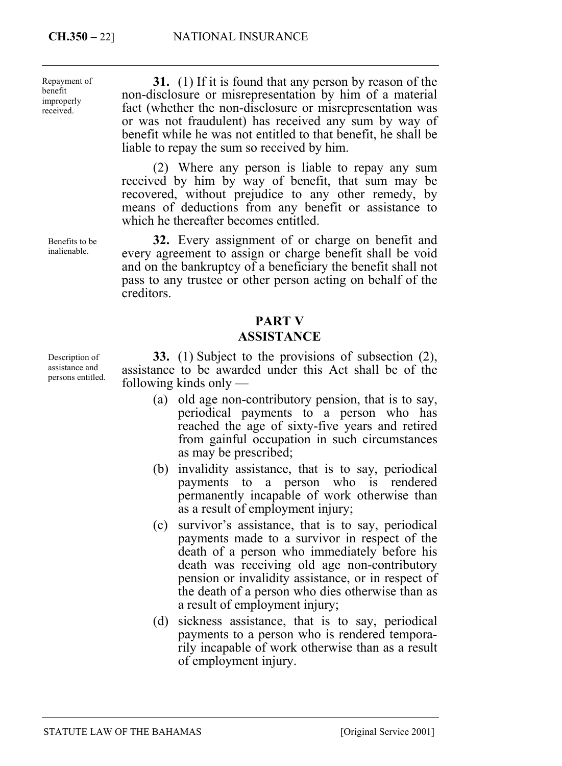Repayment of benefit improperly received.

**31.** (1) If it is found that any person by reason of the non-disclosure or misrepresentation by him of a material fact (whether the non-disclosure or misrepresentation was or was not fraudulent) has received any sum by way of benefit while he was not entitled to that benefit, he shall be liable to repay the sum so received by him.

(2) Where any person is liable to repay any sum received by him by way of benefit, that sum may be recovered, without prejudice to any other remedy, by means of deductions from any benefit or assistance to which he thereafter becomes entitled.

**32.** Every assignment of or charge on benefit and every agreement to assign or charge benefit shall be void and on the bankruptcy of a beneficiary the benefit shall not pass to any trustee or other person acting on behalf of the creditors.

## **PART V ASSISTANCE**

**33.** (1) Subject to the provisions of subsection (2), assistance to be awarded under this Act shall be of the following kinds only —

- (a) old age non-contributory pension, that is to say, periodical payments to a person who has reached the age of sixty-five years and retired from gainful occupation in such circumstances as may be prescribed;
- (b) invalidity assistance, that is to say, periodical payments to a person who is rendered permanently incapable of work otherwise than as a result of employment injury;
- (c) survivor's assistance, that is to say, periodical payments made to a survivor in respect of the death of a person who immediately before his death was receiving old age non-contributory pension or invalidity assistance, or in respect of the death of a person who dies otherwise than as a result of employment injury;
- (d) sickness assistance, that is to say, periodical payments to a person who is rendered temporarily incapable of work otherwise than as a result of employment injury.

Description of assistance and persons entitled.

Benefits to be inalienable.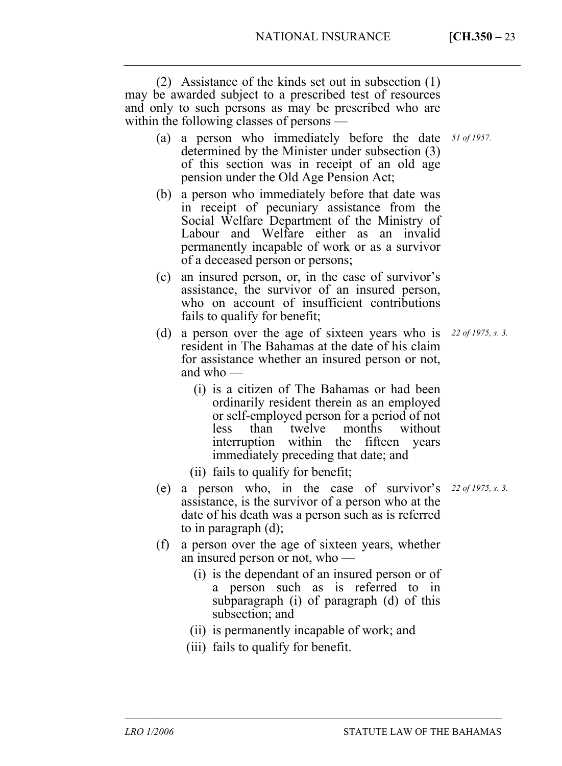(2) Assistance of the kinds set out in subsection (1) may be awarded subject to a prescribed test of resources and only to such persons as may be prescribed who are within the following classes of persons —

- (a) a person who immediately before the date *51 of 1957.*  determined by the Minister under subsection (3) of this section was in receipt of an old age pension under the Old Age Pension Act;
- (b) a person who immediately before that date was in receipt of pecuniary assistance from the Social Welfare Department of the Ministry of Labour and Welfare either as an invalid permanently incapable of work or as a survivor of a deceased person or persons;
- (c) an insured person, or, in the case of survivor's assistance, the survivor of an insured person, who on account of insufficient contributions fails to qualify for benefit;
- (d) a person over the age of sixteen years who is *22 of 1975, s. 3.*  resident in The Bahamas at the date of his claim for assistance whether an insured person or not, and who —
	- (i) is a citizen of The Bahamas or had been ordinarily resident therein as an employed or self-employed person for a period of not less than twelve months without interruption within the fifteen years immediately preceding that date; and
	- (ii) fails to qualify for benefit;
- (e) a person who, in the case of survivor's *22 of 1975, s. 3.* assistance, is the survivor of a person who at the date of his death was a person such as is referred to in paragraph (d);
- (f) a person over the age of sixteen years, whether an insured person or not, who —
	- (i) is the dependant of an insured person or of a person such as is referred to in subparagraph (i) of paragraph (d) of this subsection; and
	- (ii) is permanently incapable of work; and

––––––––––––––––––––––––––––––––––––––––––––––––––––––––––––––––––––––––––––

(iii) fails to qualify for benefit.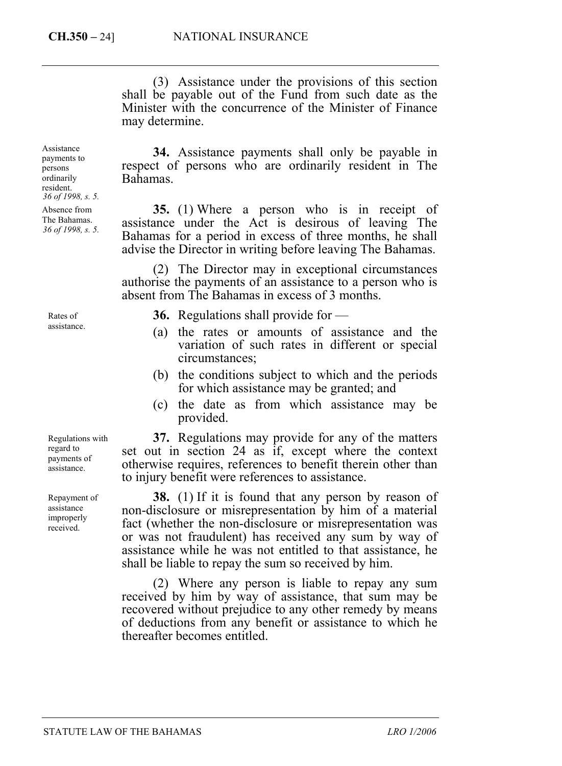(3) Assistance under the provisions of this section shall be payable out of the Fund from such date as the Minister with the concurrence of the Minister of Finance may determine.

Assistance payments to persons ordinarily resident. *36 of 1998, s. 5.*  Absence from

The Bahamas. *36 of 1998, s. 5.* 

Rates of assistance.

Regulations with regard to payments of assistance.

Repayment of assistance improperly received.

**34.** Assistance payments shall only be payable in respect of persons who are ordinarily resident in The Bahamas.

**35.** (1) Where a person who is in receipt of assistance under the Act is desirous of leaving The Bahamas for a period in excess of three months, he shall advise the Director in writing before leaving The Bahamas.

(2) The Director may in exceptional circumstances authorise the payments of an assistance to a person who is absent from The Bahamas in excess of 3 months.

- **36.** Regulations shall provide for —
- (a) the rates or amounts of assistance and the variation of such rates in different or special circumstances;
- (b) the conditions subject to which and the periods for which assistance may be granted; and
- (c) the date as from which assistance may be provided.

**37.** Regulations may provide for any of the matters set out in section 24 as if, except where the context otherwise requires, references to benefit therein other than to injury benefit were references to assistance.

**38.** (1) If it is found that any person by reason of non-disclosure or misrepresentation by him of a material fact (whether the non-disclosure or misrepresentation was or was not fraudulent) has received any sum by way of assistance while he was not entitled to that assistance, he shall be liable to repay the sum so received by him.

(2) Where any person is liable to repay any sum received by him by way of assistance, that sum may be recovered without prejudice to any other remedy by means of deductions from any benefit or assistance to which he thereafter becomes entitled.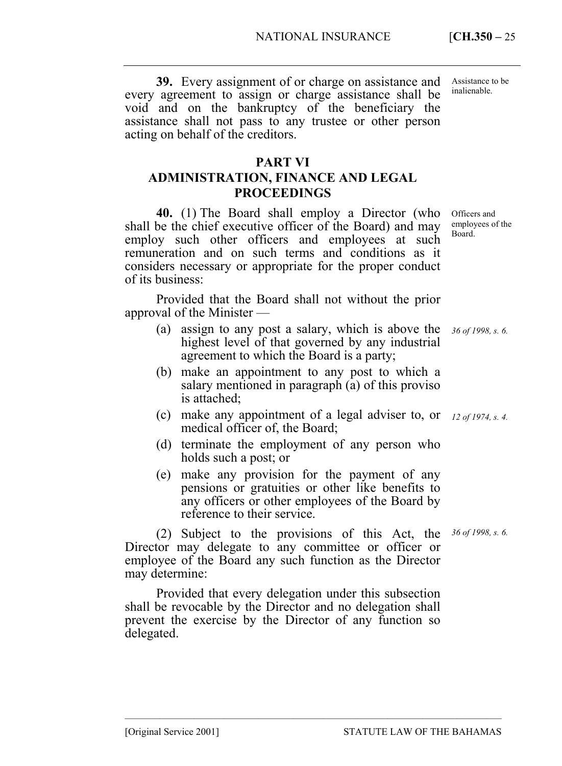**39.** Every assignment of or charge on assistance and Assistance to be every agreement to assign or charge assistance shall be void and on the bankruptcy of the beneficiary the assistance shall not pass to any trustee or other person inalienable.

## **PART VI**

acting on behalf of the creditors.

# **ADMINISTRATION, FINANCE AND LEGAL PROCEEDINGS**

**40.** (1) The Board shall employ a Director (who shall be the chief executive officer of the Board) and may employ such other officers and employees at such remuneration and on such terms and conditions as it considers necessary or appropriate for the proper conduct of its business:

Provided that the Board shall not without the prior approval of the Minister —

- (a) assign to any post a salary, which is above the highest level of that governed by any industrial agreement to which the Board is a party;
- (b) make an appointment to any post to which a salary mentioned in paragraph (a) of this proviso is attached;
- (c) make any appointment of a legal adviser to, or *12 of 1974, s. 4.*  medical officer of, the Board;
- (d) terminate the employment of any person who holds such a post; or
- (e) make any provision for the payment of any pensions or gratuities or other like benefits to any officers or other employees of the Board by reference to their service.

(2) Subject to the provisions of this Act, the *36 of 1998, s. 6.* Director may delegate to any committee or officer or employee of the Board any such function as the Director may determine:

Provided that every delegation under this subsection shall be revocable by the Director and no delegation shall prevent the exercise by the Director of any function so delegated.

––––––––––––––––––––––––––––––––––––––––––––––––––––––––––––––––––––––––––––

Officers and employees of the Board.

*36 of 1998, s. 6.* 

[Original Service 2001] STATUTE LAW OF THE BAHAMAS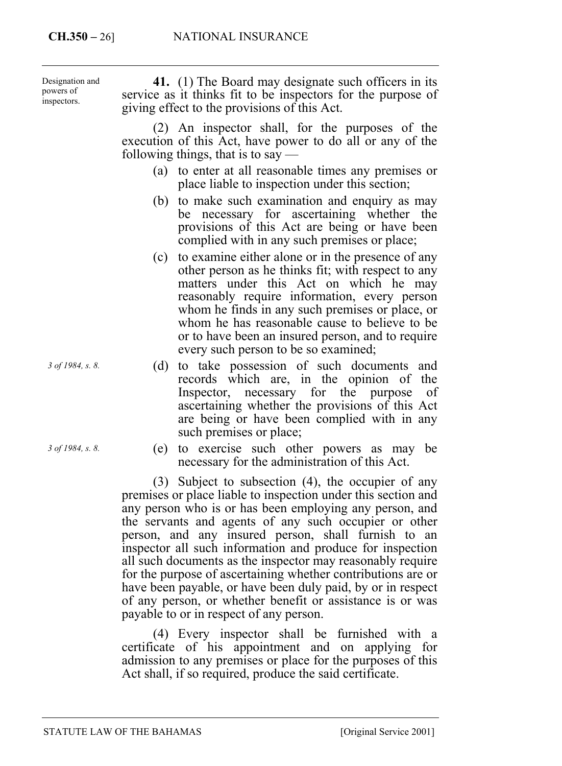**41.** (1) The Board may designate such officers in its service as it thinks fit to be inspectors for the purpose of giving effect to the provisions of this Act. (2) An inspector shall, for the purposes of the execution of this Act, have power to do all or any of the following things, that is to say  $-$ (a) to enter at all reasonable times any premises or place liable to inspection under this section; (b) to make such examination and enquiry as may be necessary for ascertaining whether the provisions of this Act are being or have been complied with in any such premises or place; (c) to examine either alone or in the presence of any other person as he thinks fit; with respect to any matters under this Act on which he may Designation and powers of inspectors.

- reasonably require information, every person whom he finds in any such premises or place, or whom he has reasonable cause to believe to be or to have been an insured person, and to require every such person to be so examined;
- (d) to take possession of such documents and records which are, in the opinion of the Inspector, necessary for the purpose of ascertaining whether the provisions of this Act are being or have been complied with in any such premises or place;
- (e) to exercise such other powers as may be necessary for the administration of this Act.

(3) Subject to subsection (4), the occupier of any premises or place liable to inspection under this section and any person who is or has been employing any person, and the servants and agents of any such occupier or other person, and any insured person, shall furnish to an inspector all such information and produce for inspection all such documents as the inspector may reasonably require for the purpose of ascertaining whether contributions are or have been payable, or have been duly paid, by or in respect of any person, or whether benefit or assistance is or was payable to or in respect of any person.

(4) Every inspector shall be furnished with a certificate of his appointment and on applying for admission to any premises or place for the purposes of this Act shall, if so required, produce the said certificate.

*3 of 1984, s. 8.* 

*3 of 1984, s. 8.*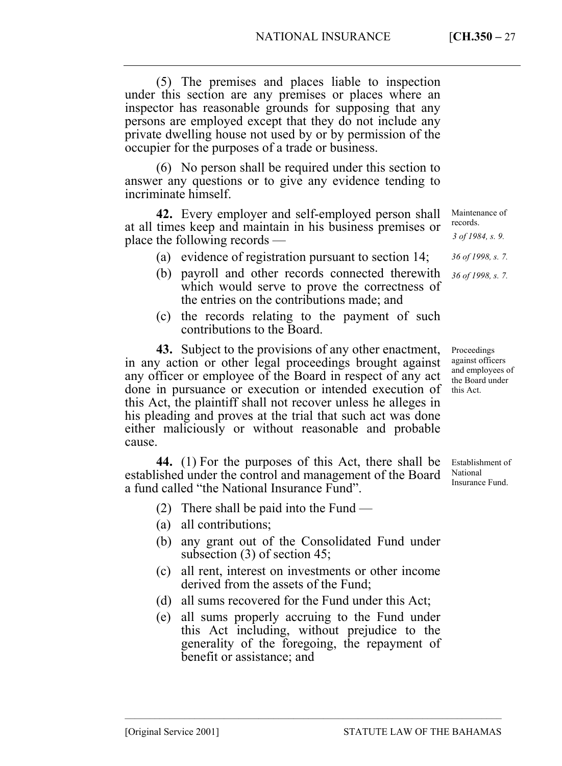(5) The premises and places liable to inspection under this section are any premises or places where an inspector has reasonable grounds for supposing that any persons are employed except that they do not include any private dwelling house not used by or by permission of the occupier for the purposes of a trade or business.

(6) No person shall be required under this section to answer any questions or to give any evidence tending to incriminate himself.

**42.** Every employer and self-employed person shall at all times keep and maintain in his business premises or place the following records —

- (a) evidence of registration pursuant to section 14;
- (b) payroll and other records connected therewith which would serve to prove the correctness of the entries on the contributions made; and
- (c) the records relating to the payment of such contributions to the Board.

**43.** Subject to the provisions of any other enactment, in any action or other legal proceedings brought against any officer or employee of the Board in respect of any act done in pursuance or execution or intended execution of this Act, the plaintiff shall not recover unless he alleges in his pleading and proves at the trial that such act was done either maliciously or without reasonable and probable cause.

**44.** (1) For the purposes of this Act, there shall be established under the control and management of the Board a fund called "the National Insurance Fund".

- (2) There shall be paid into the Fund —
- (a) all contributions;
- (b) any grant out of the Consolidated Fund under subsection (3) of section 45;
- (c) all rent, interest on investments or other income derived from the assets of the Fund;
- (d) all sums recovered for the Fund under this Act;
- (e) all sums properly accruing to the Fund under this Act including, without prejudice to the generality of the foregoing, the repayment of benefit or assistance; and

records. *3 of 1984, s. 9. 36 of 1998, s. 7. 36 of 1998, s. 7.* 

Maintenance of

Proceedings against officers and employees of the Board under this Act.

Establishment of National Insurance Fund.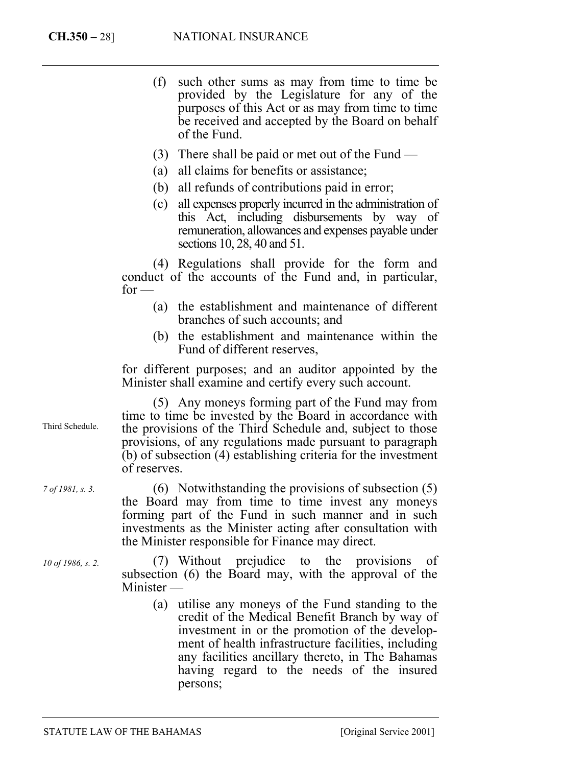(f) such other sums as may from time to time be provided by the Legislature for any of the purposes of this Act or as may from time to time be received and accepted by the Board on behalf of the Fund.

- (3) There shall be paid or met out of the Fund —
- (a) all claims for benefits or assistance;
- (b) all refunds of contributions paid in error;
- (c) all expenses properly incurred in the administration of this Act, including disbursements by way of remuneration, allowances and expenses payable under sections 10, 28, 40 and 51.

(4) Regulations shall provide for the form and conduct of the accounts of the Fund and, in particular,  $for -$ 

- (a) the establishment and maintenance of different branches of such accounts; and
- (b) the establishment and maintenance within the Fund of different reserves,

for different purposes; and an auditor appointed by the Minister shall examine and certify every such account.

(5) Any moneys forming part of the Fund may from time to time be invested by the Board in accordance with the provisions of the Third Schedule and, subject to those provisions, of any regulations made pursuant to paragraph (b) of subsection (4) establishing criteria for the investment of reserves.

(6) Notwithstanding the provisions of subsection (5) the Board may from time to time invest any moneys forming part of the Fund in such manner and in such investments as the Minister acting after consultation with the Minister responsible for Finance may direct.

(7) Without prejudice to the provisions of subsection (6) the Board may, with the approval of the Minister —

> (a) utilise any moneys of the Fund standing to the credit of the Medical Benefit Branch by way of investment in or the promotion of the development of health infrastructure facilities, including any facilities ancillary thereto, in The Bahamas having regard to the needs of the insured persons;

Third Schedule.

*7 of 1981, s. 3.* 

*10 of 1986, s. 2.*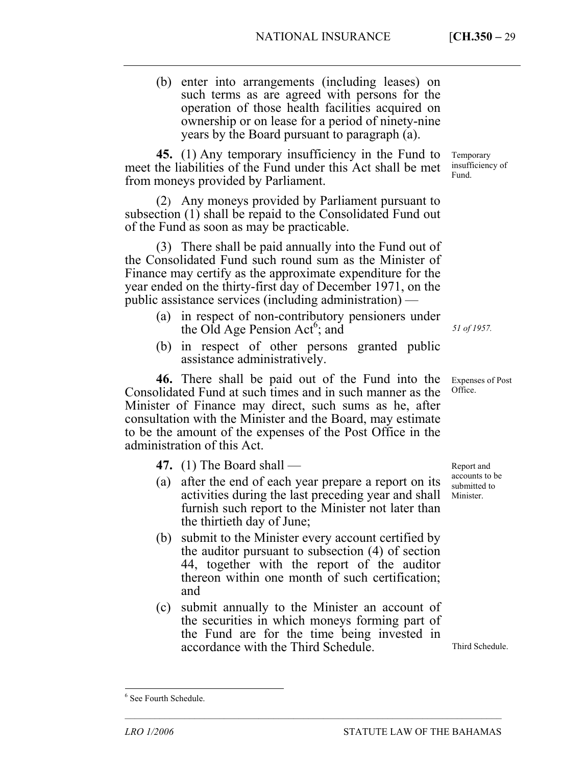(b) enter into arrangements (including leases) on such terms as are agreed with persons for the operation of those health facilities acquired on ownership or on lease for a period of ninety-nine years by the Board pursuant to paragraph (a).

**45.** (1) Any temporary insufficiency in the Fund to meet the liabilities of the Fund under this Act shall be met from moneys provided by Parliament.

(2) Any moneys provided by Parliament pursuant to subsection (1) shall be repaid to the Consolid[ate](#page-28-0)d Fund out of the Fund as soon as may be practicable.

(3) There shall be paid annually into the Fund out of the Consolidated Fund such round sum as the Minister of Finance may certify as the approximate expenditure for the year ended on the thirty-first day of December 1971, on the public assistance services (including administration) —

- (a) in respect of non-contributory pensioners under the Old Age Pension Act<sup>6</sup>; and
- (b) in respect of other persons granted public assistance administratively.

**46.** There shall be paid out of the Fund into the Consolidated Fund at such times and in such manner as the Minister of Finance may direct, such sums as he, after consultation with the Minister and the Board, may estimate to be the amount of the expenses of the Post Office in the administration of this Act.

**47.** (1) The Board shall —

- (a) after the end of each year prepare a report on its activities during the last preceding year and shall furnish such report to the Minister not later than the thirtieth day of June;
- (b) submit to the Minister every account certified by the auditor pursuant to subsection (4) of section 44, together with the report of the auditor thereon within one month of such certification; and
- (c) submit annually to the Minister an account of the securities in which moneys forming part of the Fund are for the time being invested in accordance with the Third Schedule.

––––––––––––––––––––––––––––––––––––––––––––––––––––––––––––––––––––––––––––

Temporary insufficiency of Fund.

*51 of 1957.* 

Expenses of Post Office.

Report and accounts to be submitted to Minister.

Third Schedule.

 $\overline{a}$ 

<span id="page-28-0"></span><sup>6</sup> See Fourth Schedule.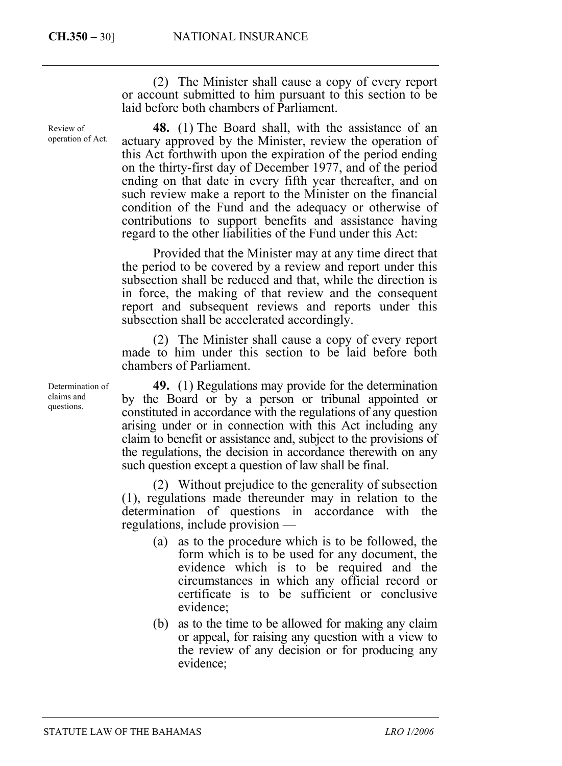Review of operation of Act.

(2) The Minister shall cause a copy of every report or account submitted to him pursuant to this section to be laid before both chambers of Parliament.

**48.** (1) The Board shall, with the assistance of an actuary approved by the Minister, review the operation of this Act forthwith upon the expiration of the period ending on the thirty-first day of December 1977, and of the period ending on that date in every fifth year thereafter, and on such review make a report to the Minister on the financial condition of the Fund and the adequacy or otherwise of contributions to support benefits and assistance having regard to the other liabilities of the Fund under this Act:

Provided that the Minister may at any time direct that the period to be covered by a review and report under this subsection shall be reduced and that, while the direction is in force, the making of that review and the consequent report and subsequent reviews and reports under this subsection shall be accelerated accordingly.

(2) The Minister shall cause a copy of every report made to him under this section to be laid before both chambers of Parliament.

**49.** (1) Regulations may provide for the determination by the Board or by a person or tribunal appointed or constituted in accordance with the regulations of any question arising under or in connection with this Act including any claim to benefit or assistance and, subject to the provisions of the regulations, the decision in accordance therewith on any such question except a question of law shall be final.

(2) Without prejudice to the generality of subsection (1), regulations made thereunder may in relation to the determination of questions in accordance with the regulations, include provision —

- (a) as to the procedure which is to be followed, the form which is to be used for any document, the evidence which is to be required and the circumstances in which any official record or certificate is to be sufficient or conclusive evidence;
- (b) as to the time to be allowed for making any claim or appeal, for raising any question with a view to the review of any decision or for producing any evidence;

Determination of claims and questions.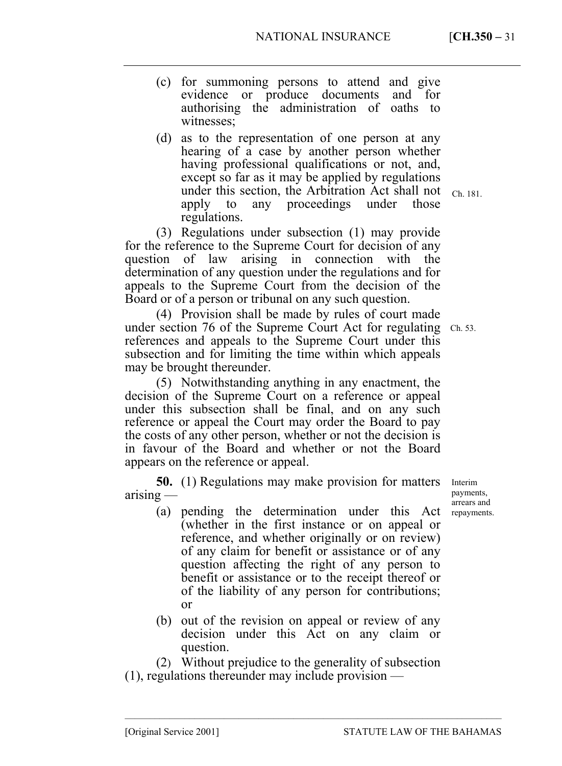––––––––––––––––––––––––––––––––––––––––––––––––––––––––––––––––––––––––––––

- (c) for summoning persons to attend and give evidence or produce documents and for authorising the administration of oaths to witnesses;
- (d) as to the representation of one person at any hearing of a case by another person whether having professional qualifications or not, and, except so far as it may be applied by regulations under this section, the Arbitration Act shall not  $_{Ch. 181.}$ apply to any proceedings under those regulations.

(3) Regulations under subsection (1) may provide for the reference to the Supreme Court for decision of any question of law arising in connection with the determination of any question under the regulations and for appeals to the Supreme Court from the decision of the Board or of a person or tribunal on any such question.

(4) Provision shall be made by rules of court made under section 76 of the Supreme Court Act for regulating Ch. 53. references and appeals to the Supreme Court under this subsection and for limiting the time within which appeals may be brought thereunder.

(5) Notwithstanding anything in any enactment, the decision of the Supreme Court on a reference or appeal under this subsection shall be final, and on any such reference or appeal the Court may order the Board to pay the costs of any other person, whether or not the decision is in favour of the Board and whether or not the Board appears on the reference or appeal.

**50.** (1) Regulations may make provision for matters arising —

- (a) pending the determination under this Act (whether in the first instance or on appeal or reference, and whether originally or on review) of any claim for benefit or assistance or of any question affecting the right of any person to benefit or assistance or to the receipt thereof or of the liability of any person for contributions; or
- (b) out of the revision on appeal or review of any decision under this Act on any claim or question.

(2) Without prejudice to the generality of subsection (1), regulations thereunder may include provision —

Interim payments, arrears and repayments.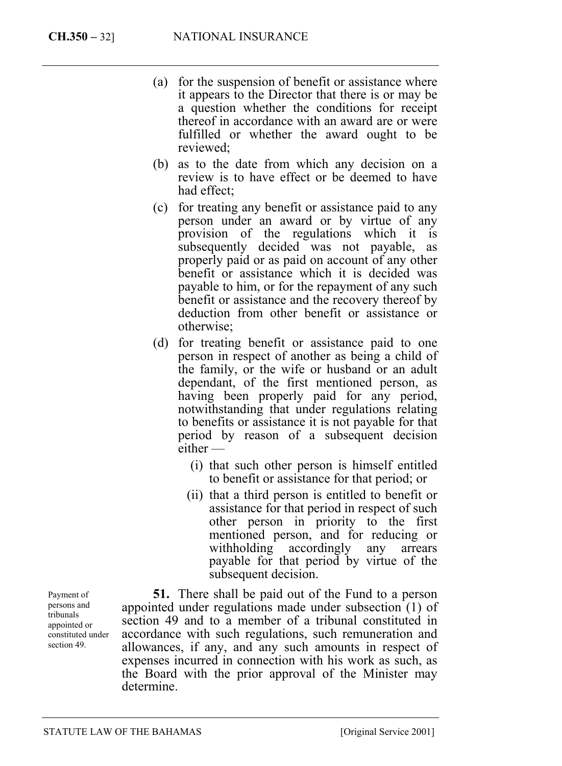- (a) for the suspension of benefit or assistance where it appears to the Director that there is or may be a question whether the conditions for receipt thereof in accordance with an award are or were fulfilled or whether the award ought to be reviewed;
- (b) as to the date from which any decision on a review is to have effect or be deemed to have had effect;
- (c) for treating any benefit or assistance paid to any person under an award or by virtue of any provision of the regulations which it is subsequently decided was not payable, as properly paid or as paid on account of any other benefit or assistance which it is decided was payable to him, or for the repayment of any such benefit or assistance and the recovery thereof by deduction from other benefit or assistance or otherwise;
- (d) for treating benefit or assistance paid to one person in respect of another as being a child of the family, or the wife or husband or an adult dependant, of the first mentioned person, as having been properly paid for any period, notwithstanding that under regulations relating to benefits or assistance it is not payable for that period by reason of a subsequent decision either —
	- (i) that such other person is himself entitled to benefit or assistance for that period; or
	- (ii) that a third person is entitled to benefit or assistance for that period in respect of such other person in priority to the first mentioned person, and for reducing or withholding accordingly any arrears payable for that period by virtue of the subsequent decision.

**51.** There shall be paid out of the Fund to a person appointed under regulations made under subsection (1) of section 49 and to a member of a tribunal constituted in accordance with such regulations, such remuneration and allowances, if any, and any such amounts in respect of expenses incurred in connection with his work as such, as the Board with the prior approval of the Minister may determine.

Payment of persons and tribunals appointed or constituted under section 49.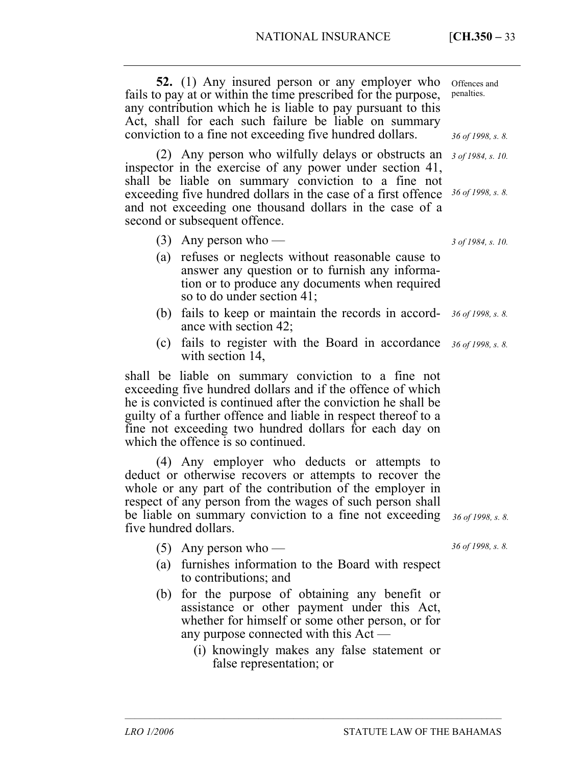| <b>52.</b> (1) Any insured person or any employer who<br>fails to pay at or within the time prescribed for the purpose,<br>any contribution which he is liable to pay pursuant to this<br>Act, shall for each such failure be liable on summary<br>conviction to a fine not exceeding five hundred dollars.                                          | Offences and<br>penalties.<br>36 of 1998, s. 8. |
|------------------------------------------------------------------------------------------------------------------------------------------------------------------------------------------------------------------------------------------------------------------------------------------------------------------------------------------------------|-------------------------------------------------|
| (2) Any person who wilfully delays or obstructs an<br>inspector in the exercise of any power under section 41,<br>shall be liable on summary conviction to a fine not<br>exceeding five hundred dollars in the case of a first offence<br>and not exceeding one thousand dollars in the case of a<br>second or subsequent offence.                   | 3 of 1984, s. 10.<br>36 of 1998, s. 8.          |
| $(3)$ Any person who —<br>(a) refuses or neglects without reasonable cause to<br>answer any question or to furnish any informa-<br>tion or to produce any documents when required<br>so to do under section 41;                                                                                                                                      | $3$ of 1984, s. 10.                             |
| fails to keep or maintain the records in accord-<br>(b)<br>ance with section 42;                                                                                                                                                                                                                                                                     | 36 of 1998, s. 8.                               |
| fails to register with the Board in accordance<br>(c)<br>with section 14,                                                                                                                                                                                                                                                                            | 36 of 1998, s. 8.                               |
| shall be liable on summary conviction to a fine not<br>exceeding five hundred dollars and if the offence of which<br>he is convicted is continued after the conviction he shall be<br>guilty of a further offence and liable in respect thereof to a<br>fine not exceeding two hundred dollars for each day on<br>which the offence is so continued. |                                                 |
| (4) Any employer who deducts or attempts to<br>deduct or otherwise recovers or attempts to recover the<br>whole or any part of the contribution of the employer in<br>respect of any person from the wages of such person shall<br>be liable on summary conviction to a fine not exceeding<br>five hundred dollars.                                  | 36 of 1998, s. 8.                               |
| $(5)$ Any person who —                                                                                                                                                                                                                                                                                                                               | 36 of 1998, s. 8.                               |
| furnishes information to the Board with respect<br>(a)<br>to contributions; and                                                                                                                                                                                                                                                                      |                                                 |
| for the purpose of obtaining any benefit or<br>(b)<br>assistance or other payment under this Act,<br>whether for himself or some other person, or for<br>any purpose connected with this Act —                                                                                                                                                       |                                                 |
| (i) knowingly makes any false statement or<br>false representation; or                                                                                                                                                                                                                                                                               |                                                 |

––––––––––––––––––––––––––––––––––––––––––––––––––––––––––––––––––––––––––––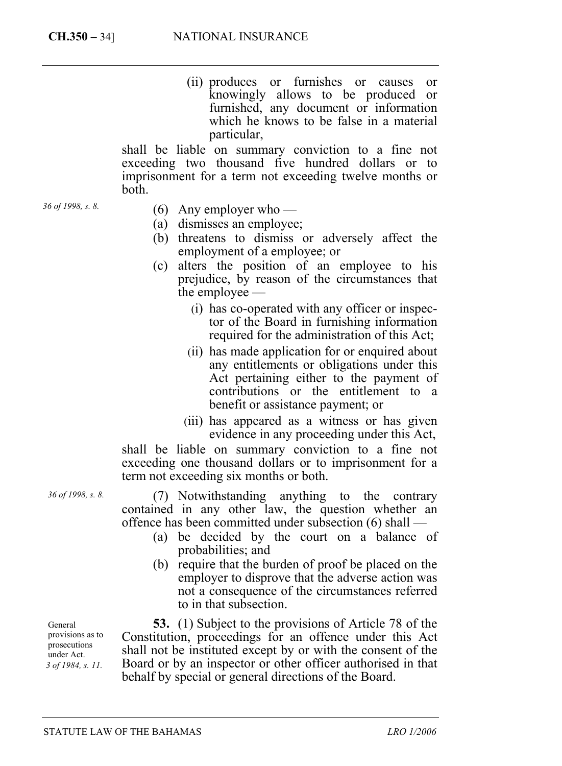(ii) produces or furnishes or causes or knowingly allows to be produced or furnished, any document or information which he knows to be false in a material particular,

shall be liable on summary conviction to a fine not exceeding two thousand five hundred dollars or to imprisonment for a term not exceeding twelve months or both.

- *36 of 1998, s. 8.*
- (6) Any employer who —
- (a) dismisses an employee;
- (b) threatens to dismiss or adversely affect the employment of a employee; or
- (c) alters the position of an employee to his prejudice, by reason of the circumstances that the employee —
	- (i) has co-operated with any officer or inspector of the Board in furnishing information required for the administration of this Act;
	- (ii) has made application for or enquired about any entitlements or obligations under this Act pertaining either to the payment of contributions or the entitlement to a benefit or assistance payment; or
	- (iii) has appeared as a witness or has given evidence in any proceeding under this Act,

shall be liable on summary conviction to a fine not exceeding one thousand dollars or to imprisonment for a term not exceeding six months or both.

(7) Notwithstanding anything to the contrary contained in any other law, the question whether an offence has been committed under subsection (6) shall —

- (a) be decided by the court on a balance of probabilities; and
- (b) require that the burden of proof be placed on the employer to disprove that the adverse action was not a consequence of the circumstances referred to in that subsection.

**53.** (1) Subject to the provisions of Article 78 of the Constitution, proceedings for an offence under this Act shall not be instituted except by or with the consent of the Board or by an inspector or other officer authorised in that behalf by special or general directions of the Board.

General provisions as to prosecutions under Act. *3 of 1984, s. 11.* 

*36 of 1998, s. 8.*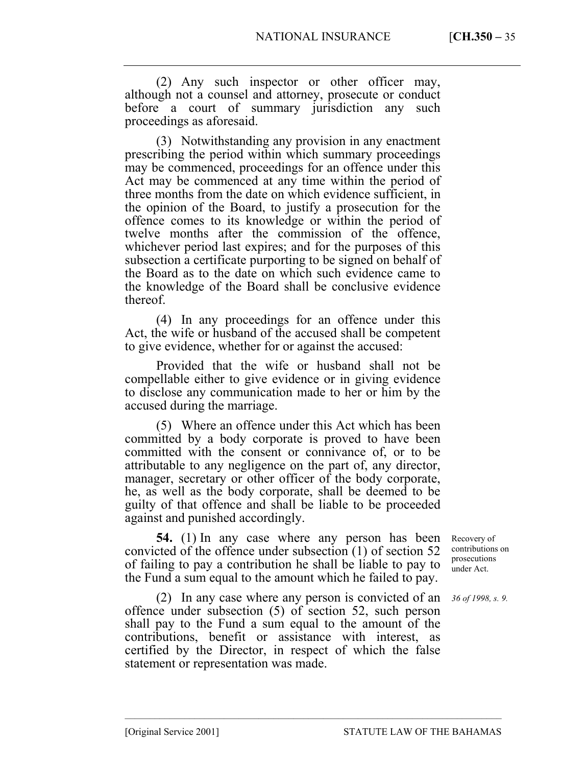(2) Any such inspector or other officer may, although not a counsel and attorney, prosecute or conduct before a court of summary jurisdiction any such proceedings as aforesaid.

(3) Notwithstanding any provision in any enactment prescribing the period within which summary proceedings may be commenced, proceedings for an offence under this Act may be commenced at any time within the period of three months from the date on which evidence sufficient, in the opinion of the Board, to justify a prosecution for the offence comes to its knowledge or within the period of twelve months after the commission of the offence, whichever period last expires; and for the purposes of this subsection a certificate purporting to be signed on behalf of the Board as to the date on which such evidence came to the knowledge of the Board shall be conclusive evidence thereof.

(4) In any proceedings for an offence under this Act, the wife or husband of the accused shall be competent to give evidence, whether for or against the accused:

Provided that the wife or husband shall not be compellable either to give evidence or in giving evidence to disclose any communication made to her or him by the accused during the marriage.

(5) Where an offence under this Act which has been committed by a body corporate is proved to have been committed with the consent or connivance of, or to be attributable to any negligence on the part of, any director, manager, secretary or other officer of the body corporate, he, as well as the body corporate, shall be deemed to be guilty of that offence and shall be liable to be proceeded against and punished accordingly.

**54.** (1) In any case where any person has been convicted of the offence under subsection (1) of section 52 of failing to pay a contribution he shall be liable to pay to the Fund a sum equal to the amount which he failed to pay.

(2) In any case where any person is convicted of an offence under subsection (5) of section 52, such person shall pay to the Fund a sum equal to the amount of the contributions, benefit or assistance with interest, as certified by the Director, in respect of which the false statement or representation was made.

––––––––––––––––––––––––––––––––––––––––––––––––––––––––––––––––––––––––––––

Recovery of contributions on prosecutions under Act.

*36 of 1998, s. 9.*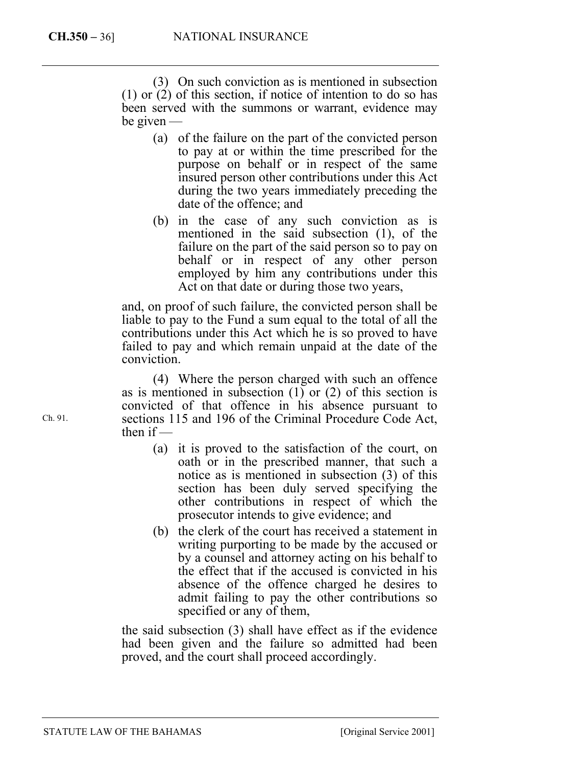(3) On such conviction as is mentioned in subsection (1) or (2) of this section, if notice of intention to do so has been served with the summons or warrant, evidence may be given —

- (a) of the failure on the part of the convicted person to pay at or within the time prescribed for the purpose on behalf or in respect of the same insured person other contributions under this Act during the two years immediately preceding the date of the offence; and
- (b) in the case of any such conviction as is mentioned in the said subsection (1), of the failure on the part of the said person so to pay on behalf or in respect of any other person employed by him any contributions under this Act on that date or during those two years,

and, on proof of such failure, the convicted person shall be liable to pay to the Fund a sum equal to the total of all the contributions under this Act which he is so proved to have failed to pay and which remain unpaid at the date of the conviction.

(4) Where the person charged with such an offence as is mentioned in subsection  $(1)$  or  $(2)$  of this section is convicted of that offence in his absence pursuant to sections 115 and 196 of the Criminal Procedure Code Act, then if —

- (a) it is proved to the satisfaction of the court, on oath or in the prescribed manner, that such a notice as is mentioned in subsection (3) of this section has been duly served specifying the other contributions in respect of which the prosecutor intends to give evidence; and
- (b) the clerk of the court has received a statement in writing purporting to be made by the accused or by a counsel and attorney acting on his behalf to the effect that if the accused is convicted in his absence of the offence charged he desires to admit failing to pay the other contributions so specified or any of them,

the said subsection (3) shall have effect as if the evidence had been given and the failure so admitted had been proved, and the court shall proceed accordingly.

Ch. 91.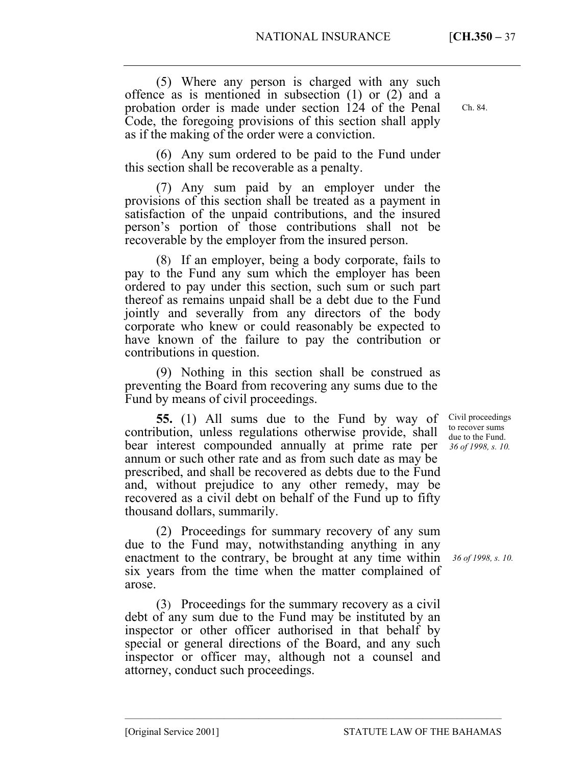(5) Where any person is charged with any such offence as is mentioned in subsection (1) or (2) and a probation order is made under section 124 of the Penal Code, the foregoing provisions of this section shall apply as if the making of the order were a conviction.

(6) Any sum ordered to be paid to the Fund under this section shall be recoverable as a penalty.

(7) Any sum paid by an employer under the provisions of this section shall be treated as a payment in satisfaction of the unpaid contributions, and the insured person's portion of those contributions shall not be recoverable by the employer from the insured person.

(8) If an employer, being a body corporate, fails to pay to the Fund any sum which the employer has been ordered to pay under this section, such sum or such part thereof as remains unpaid shall be a debt due to the Fund jointly and severally from any directors of the body corporate who knew or could reasonably be expected to have known of the failure to pay the contribution or contributions in question.

(9) Nothing in this section shall be construed as preventing the Board from recovering any sums due to the Fund by means of civil proceedings.

**55.** (1) All sums due to the Fund by way of contribution, unless regulations otherwise provide, shall bear interest compounded annually at prime rate per annum or such other rate and as from such date as may be prescribed, and shall be recovered as debts due to the Fund and, without prejudice to any other remedy, may be recovered as a civil debt on behalf of the Fund up to fifty thousand dollars, summarily.

(2) Proceedings for summary recovery of any sum due to the Fund may, notwithstanding anything in any enactment to the contrary, be brought at any time within 36 of 1998, s. 10. six years from the time when the matter complained of arose.

(3) Proceedings for the summary recovery as a civil debt of any sum due to the Fund may be instituted by an inspector or other officer authorised in that behalf by special or general directions of the Board, and any such inspector or officer may, although not a counsel and attorney, conduct such proceedings.

––––––––––––––––––––––––––––––––––––––––––––––––––––––––––––––––––––––––––––

Civil proceedings to recover sums due to the Fund. *36 of 1998, s. 10.* 

Ch. 84.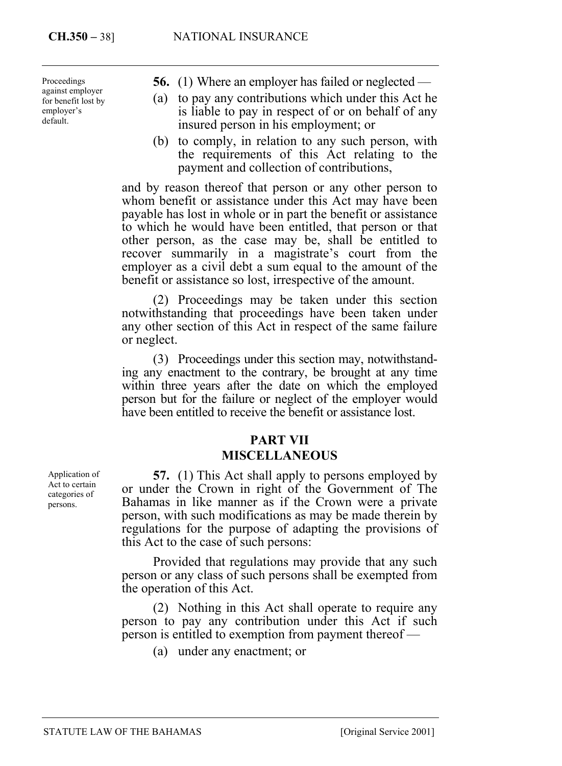Proceedings against employer for benefit lost by employer's default.

- **56.** (1) Where an employer has failed or neglected —
- (a) to pay any contributions which under this Act he is liable to pay in respect of or on behalf of any insured person in his employment; or
- (b) to comply, in relation to any such person, with the requirements of this Act relating to the payment and collection of contributions,

and by reason thereof that person or any other person to whom benefit or assistance under this Act may have been payable has lost in whole or in part the benefit or assistance to which he would have been entitled, that person or that other person, as the case may be, shall be entitled to recover summarily in a magistrate's court from the employer as a civil debt a sum equal to the amount of the benefit or assistance so lost, irrespective of the amount.

(2) Proceedings may be taken under this section notwithstanding that proceedings have been taken under any other section of this Act in respect of the same failure or neglect.

(3) Proceedings under this section may, notwithstanding any enactment to the contrary, be brought at any time within three years after the date on which the employed person but for the failure or neglect of the employer would have been entitled to receive the benefit or assistance lost.

## **PART VII MISCELLANEOUS**

**57.** (1) This Act shall apply to persons employed by or under the Crown in right of the Government of The Bahamas in like manner as if the Crown were a private person, with such modifications as may be made therein by regulations for the purpose of adapting the provisions of this Act to the case of such persons:

Provided that regulations may provide that any such person or any class of such persons shall be exempted from the operation of this Act.

(2) Nothing in this Act shall operate to require any person to pay any contribution under this Act if such person is entitled to exemption from payment thereof —

(a) under any enactment; or

Application of Act to certain categories of persons.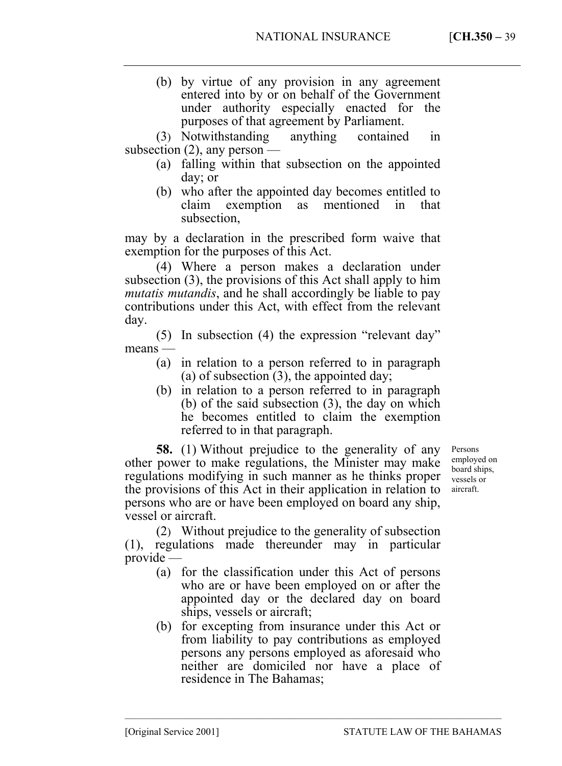(b) by virtue of any provision in any agreement entered into by or on behalf of the Government under authority especially enacted for the purposes of that agreement by Parliament.

(3) Notwithstanding anything contained in subsection  $(2)$ , any person  $-$ 

- (a) falling within that subsection on the appointed day; or
- (b) who after the appointed day becomes entitled to claim exemption as mentioned in that subsection,

may by a declaration in the prescribed form waive that exemption for the purposes of this Act.

(4) Where a person makes a declaration under subsection (3), the provisions of this Act shall apply to him *mutatis mutandis*, and he shall accordingly be liable to pay contributions under this Act, with effect from the relevant day.

(5) In subsection (4) the expression "relevant day" means —

- (a) in relation to a person referred to in paragraph (a) of subsection (3), the appointed day;
- (b) in relation to a person referred to in paragraph (b) of the said subsection (3), the day on which he becomes entitled to claim the exemption referred to in that paragraph.

**58.** (1) Without prejudice to the generality of any other power to make regulations, the Minister may make regulations modifying in such manner as he thinks proper the provisions of this Act in their application in relation to persons who are or have been employed on board any ship, vessel or aircraft.

(2) Without prejudice to the generality of subsection (1), regulations made thereunder may in particular provide —

- (a) for the classification under this Act of persons who are or have been employed on or after the appointed day or the declared day on board ships, vessels or aircraft;
- (b) for excepting from insurance under this Act or from liability to pay contributions as employed persons any persons employed as aforesaid who neither are domiciled nor have a place of residence in The Bahamas;

––––––––––––––––––––––––––––––––––––––––––––––––––––––––––––––––––––––––––––

Persons employed on board ships, vessels or aircraft.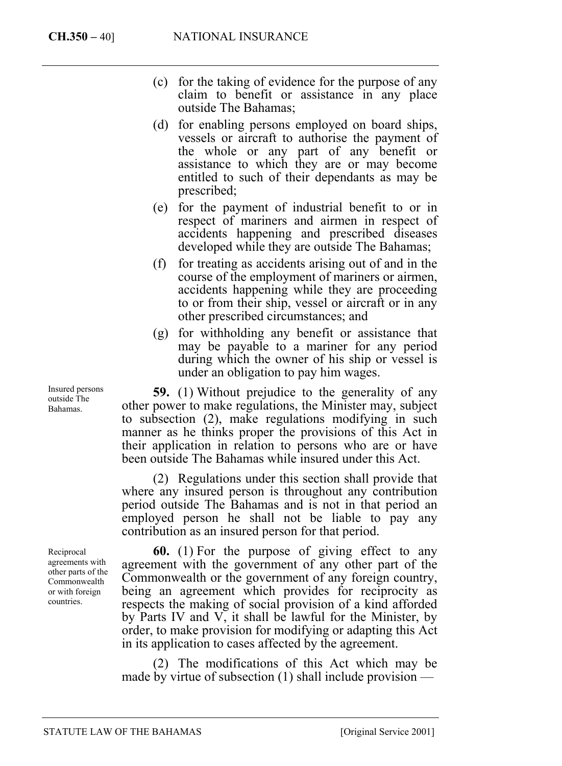- (c) for the taking of evidence for the purpose of any claim to benefit or assistance in any place outside The Bahamas;
- (d) for enabling persons employed on board ships, vessels or aircraft to authorise the payment of the whole or any part of any benefit or assistance to which they are or may become entitled to such of their dependants as may be prescribed;
- (e) for the payment of industrial benefit to or in respect of mariners and airmen in respect of accidents happening and prescribed diseases developed while they are outside The Bahamas;
- (f) for treating as accidents arising out of and in the course of the employment of mariners or airmen, accidents happening while they are proceeding to or from their ship, vessel or aircraft or in any other prescribed circumstances; and
- (g) for withholding any benefit or assistance that may be payable to a mariner for any period during which the owner of his ship or vessel is under an obligation to pay him wages.

**59.** (1) Without prejudice to the generality of any other power to make regulations, the Minister may, subject to subsection (2), make regulations modifying in such manner as he thinks proper the provisions of this Act in their application in relation to persons who are or have been outside The Bahamas while insured under this Act.

(2) Regulations under this section shall provide that where any insured person is throughout any contribution period outside The Bahamas and is not in that period an employed person he shall not be liable to pay any contribution as an insured person for that period.

**60.** (1) For the purpose of giving effect to any agreement with the government of any other part of the Commonwealth or the government of any foreign country, being an agreement which provides for reciprocity as respects the making of social provision of a kind afforded by Parts IV and V, it shall be lawful for the Minister, by order, to make provision for modifying or adapting this Act in its application to cases affected by the agreement.

(2) The modifications of this Act which may be made by virtue of subsection  $(1)$  shall include provision —

Insured persons outside The Bahamas.

Reciprocal agreements with other parts of the Commonwealth or with foreign countries.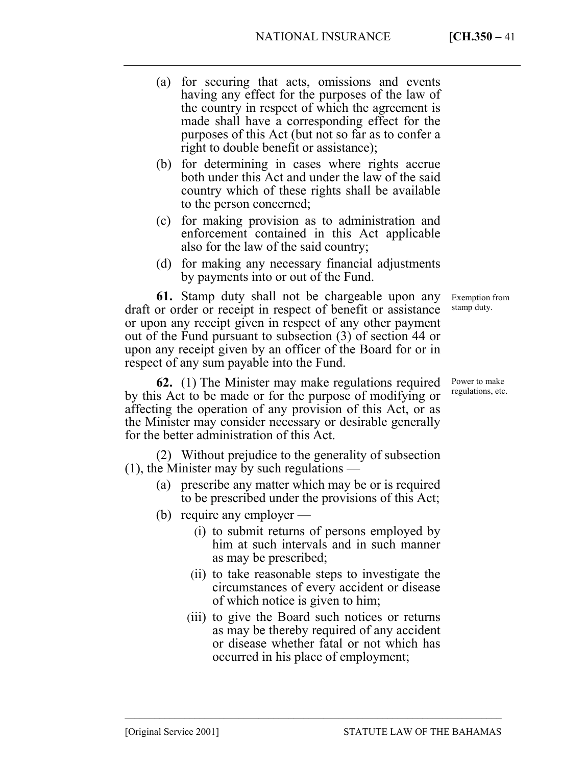- (a) for securing that acts, omissions and events having any effect for the purposes of the law of the country in respect of which the agreement is made shall have a corresponding effect for the purposes of this Act (but not so far as to confer a right to double benefit or assistance);
- (b) for determining in cases where rights accrue both under this Act and under the law of the said country which of these rights shall be available to the person concerned;
- (c) for making provision as to administration and enforcement contained in this Act applicable also for the law of the said country;
- (d) for making any necessary financial adjustments by payments into or out of the Fund.

**61.** Stamp duty shall not be chargeable upon any draft or order or receipt in respect of benefit or assistance or upon any receipt given in respect of any other payment out of the Fund pursuant to subsection (3) of section 44 or upon any receipt given by an officer of the Board for or in respect of any sum payable into the Fund.

**62.** (1) The Minister may make regulations required by this Act to be made or for the purpose of modifying or affecting the operation of any provision of this Act, or as the Minister may consider necessary or desirable generally for the better administration of this Act.

(2) Without prejudice to the generality of subsection (1), the Minister may by such regulations —

- (a) prescribe any matter which may be or is required to be prescribed under the provisions of this Act;
- (b) require any employer
	- (i) to submit returns of persons employed by him at such intervals and in such manner as may be prescribed;
	- (ii) to take reasonable steps to investigate the circumstances of every accident or disease of which notice is given to him;
	- (iii) to give the Board such notices or returns as may be thereby required of any accident or disease whether fatal or not which has occurred in his place of employment;

––––––––––––––––––––––––––––––––––––––––––––––––––––––––––––––––––––––––––––

Exemption from stamp duty.

Power to make regulations, etc.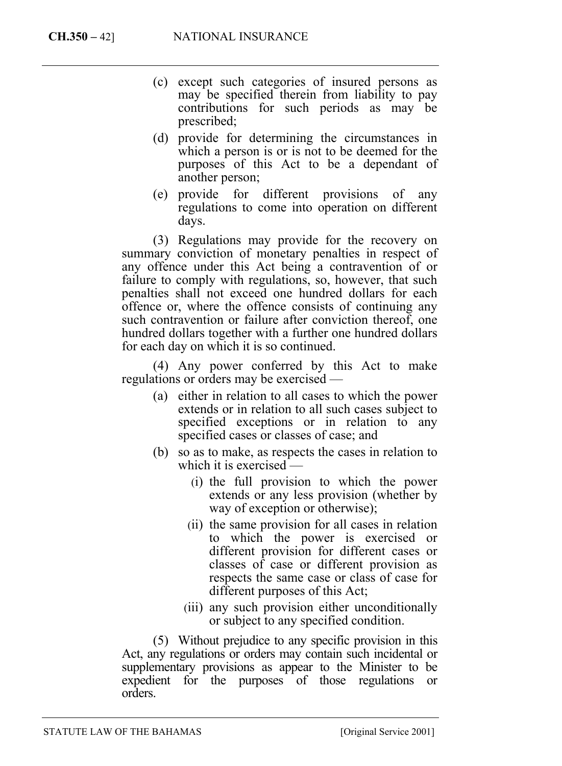- (c) except such categories of insured persons as may be specified therein from liability to pay contributions for such periods as may be prescribed;
- (d) provide for determining the circumstances in which a person is or is not to be deemed for the purposes of this Act to be a dependant of another person;
- (e) provide for different provisions of any regulations to come into operation on different days.

(3) Regulations may provide for the recovery on summary conviction of monetary penalties in respect of any offence under this Act being a contravention of or failure to comply with regulations, so, however, that such penalties shall not exceed one hundred dollars for each offence or, where the offence consists of continuing any such contravention or failure after conviction thereof, one hundred dollars together with a further one hundred dollars for each day on which it is so continued.

(4) Any power conferred by this Act to make regulations or orders may be exercised —

- (a) either in relation to all cases to which the power extends or in relation to all such cases subject to specified exceptions or in relation to any specified cases or classes of case; and
- (b) so as to make, as respects the cases in relation to which it is exercised —
	- (i) the full provision to which the power extends or any less provision (whether by way of exception or otherwise);
	- (ii) the same provision for all cases in relation to which the power is exercised or different provision for different cases or classes of case or different provision as respects the same case or class of case for different purposes of this Act;
	- (iii) any such provision either unconditionally or subject to any specified condition.

(5) Without prejudice to any specific provision in this Act, any regulations or orders may contain such incidental or supplementary provisions as appear to the Minister to be expedient for the purposes of those regulations or orders.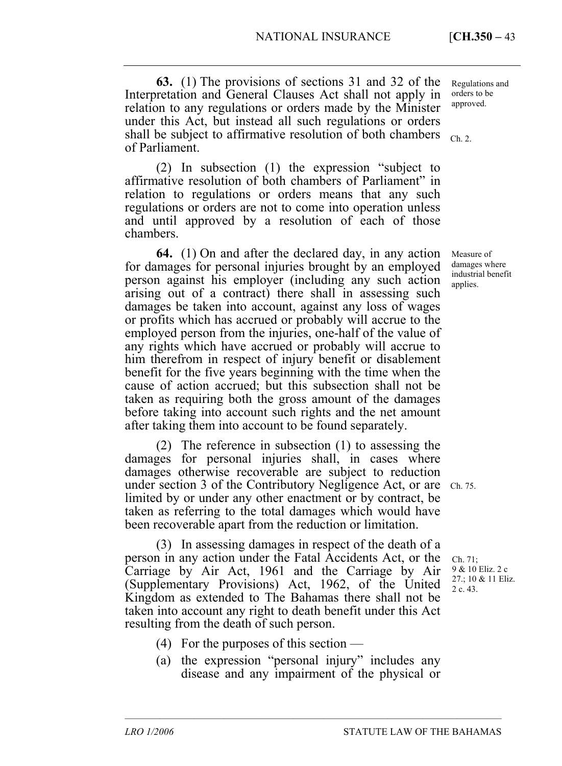**63.** (1) The provisions of sections 31 and 32 of the Interpretation and General Clauses Act shall not apply in relation to any regulations or orders made by the Minister under this Act, but instead all such regulations or orders shall be subject to affirmative resolution of both chambers of Parliament.

(2) In subsection (1) the expression "subject to affirmative resolution of both chambers of Parliament" in relation to regulations or orders means that any such regulations or orders are not to come into operation unless and until approved by a resolution of each of those chambers.

**64.** (1) On and after the declared day, in any action for damages for personal injuries brought by an employed person against his employer (including any such action arising out of a contract) there shall in assessing such damages be taken into account, against any loss of wages or profits which has accrued or probably will accrue to the employed person from the injuries, one-half of the value of any rights which have accrued or probably will accrue to him therefrom in respect of injury benefit or disablement benefit for the five years beginning with the time when the cause of action accrued; but this subsection shall not be taken as requiring both the gross amount of the damages before taking into account such rights and the net amount after taking them into account to be found separately.

(2) The reference in subsection (1) to assessing the damages for personal injuries shall, in cases where damages otherwise recoverable are subject to reduction under section 3 of the Contributory Negligence Act, or are Ch. 75. limited by or under any other enactment or by contract, be taken as referring to the total damages which would have been recoverable apart from the reduction or limitation.

(3) In assessing damages in respect of the death of a person in any action under the Fatal Accidents Act, or the Carriage by Air Act, 1961 and the Carriage by Air (Supplementary Provisions) Act, 1962, of the United Kingdom as extended to The Bahamas there shall not be taken into account any right to death benefit under this Act resulting from the death of such person.

- (4) For the purposes of this section —
- (a) the expression "personal injury" includes any disease and any impairment of the physical or

––––––––––––––––––––––––––––––––––––––––––––––––––––––––––––––––––––––––––––

Regulations and orders to be approved.

Ch. 2.

Measure of damages where industrial benefit applies.

Ch. 71; 9 & 10 Eliz. 2 c 27.; 10 & 11 Eliz. 2 c. 43.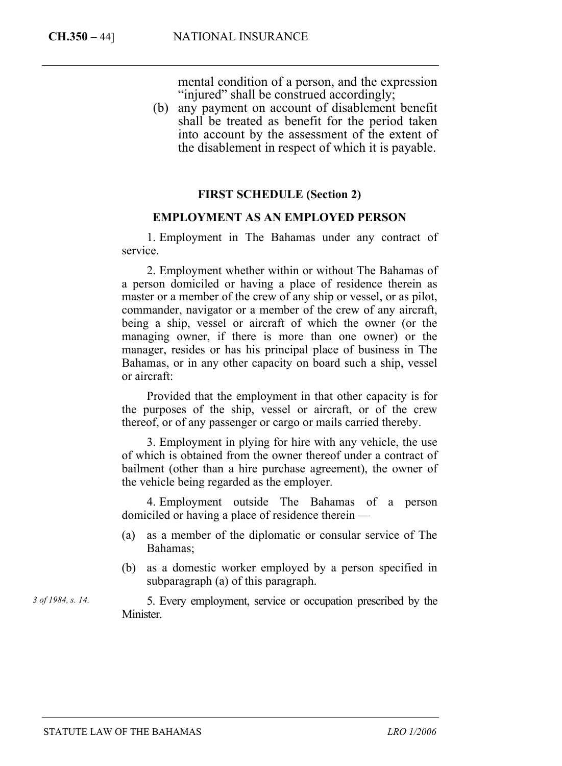mental condition of a person, and the expression "injured" shall be construed accordingly;

(b) any payment on account of disablement benefit shall be treated as benefit for the period taken into account by the assessment of the extent of the disablement in respect of which it is payable.

## **FIRST SCHEDULE (Section 2)**

## **EMPLOYMENT AS AN EMPLOYED PERSON**

1. Employment in The Bahamas under any contract of service.

2. Employment whether within or without The Bahamas of a person domiciled or having a place of residence therein as master or a member of the crew of any ship or vessel, or as pilot, commander, navigator or a member of the crew of any aircraft, being a ship, vessel or aircraft of which the owner (or the managing owner, if there is more than one owner) or the manager, resides or has his principal place of business in The Bahamas, or in any other capacity on board such a ship, vessel or aircraft:

Provided that the employment in that other capacity is for the purposes of the ship, vessel or aircraft, or of the crew thereof, or of any passenger or cargo or mails carried thereby.

3. Employment in plying for hire with any vehicle, the use of which is obtained from the owner thereof under a contract of bailment (other than a hire purchase agreement), the owner of the vehicle being regarded as the employer.

4. Employment outside The Bahamas of a person domiciled or having a place of residence therein —

- (a) as a member of the diplomatic or consular service of The Bahamas;
- (b) as a domestic worker employed by a person specified in subparagraph (a) of this paragraph.

5. Every employment, service or occupation prescribed by the **Minister** 

*3 of 1984, s. 14.*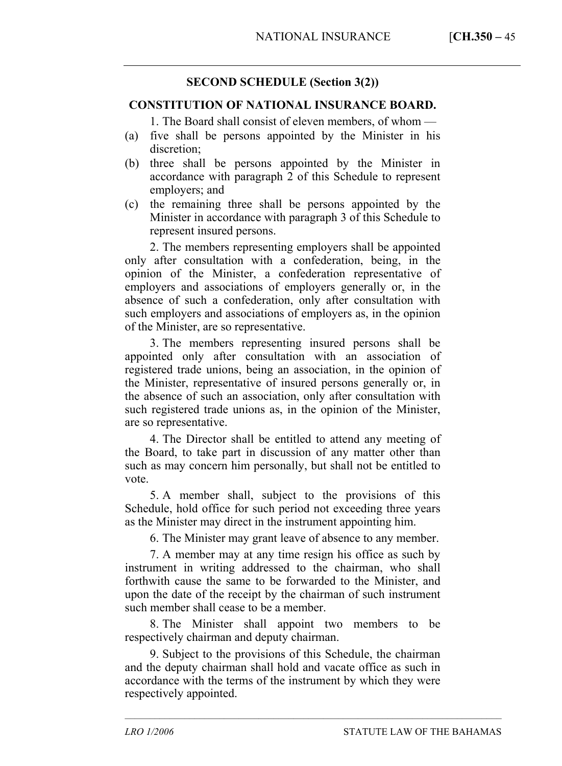# **SECOND SCHEDULE (Section 3(2))**

## **CONSTITUTION OF NATIONAL INSURANCE BOARD.**

1. The Board shall consist of eleven members, of whom —

- (a) five shall be persons appointed by the Minister in his discretion;
- (b) three shall be persons appointed by the Minister in accordance with paragraph 2 of this Schedule to represent employers; and
- (c) the remaining three shall be persons appointed by the Minister in accordance with paragraph 3 of this Schedule to represent insured persons.

2. The members representing employers shall be appointed only after consultation with a confederation, being, in the opinion of the Minister, a confederation representative of employers and associations of employers generally or, in the absence of such a confederation, only after consultation with such employers and associations of employers as, in the opinion of the Minister, are so representative.

3. The members representing insured persons shall be appointed only after consultation with an association of registered trade unions, being an association, in the opinion of the Minister, representative of insured persons generally or, in the absence of such an association, only after consultation with such registered trade unions as, in the opinion of the Minister, are so representative.

4. The Director shall be entitled to attend any meeting of the Board, to take part in discussion of any matter other than such as may concern him personally, but shall not be entitled to vote.

5. A member shall, subject to the provisions of this Schedule, hold office for such period not exceeding three years as the Minister may direct in the instrument appointing him.

6. The Minister may grant leave of absence to any member.

7. A member may at any time resign his office as such by instrument in writing addressed to the chairman, who shall forthwith cause the same to be forwarded to the Minister, and upon the date of the receipt by the chairman of such instrument such member shall cease to be a member.

8. The Minister shall appoint two members to be respectively chairman and deputy chairman.

9. Subject to the provisions of this Schedule, the chairman and the deputy chairman shall hold and vacate office as such in accordance with the terms of the instrument by which they were respectively appointed.

––––––––––––––––––––––––––––––––––––––––––––––––––––––––––––––––––––––––––––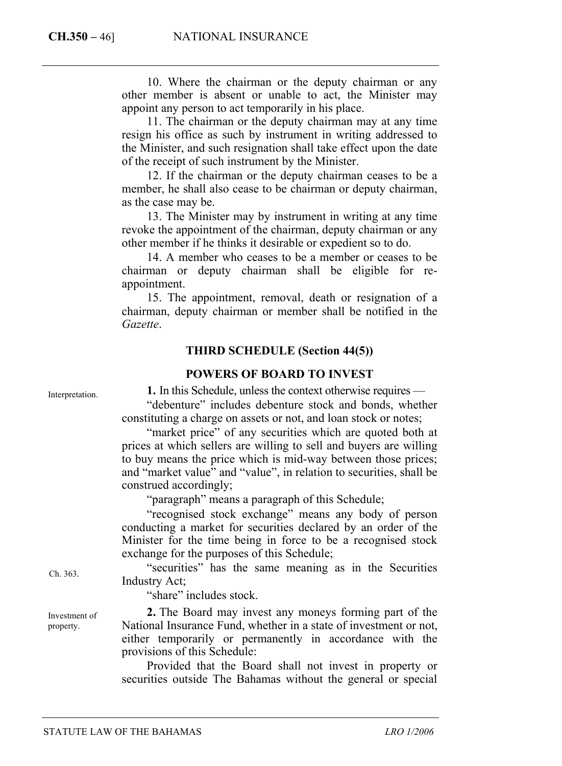10. Where the chairman or the deputy chairman or any other member is absent or unable to act, the Minister may appoint any person to act temporarily in his place.

11. The chairman or the deputy chairman may at any time resign his office as such by instrument in writing addressed to the Minister, and such resignation shall take effect upon the date of the receipt of such instrument by the Minister.

12. If the chairman or the deputy chairman ceases to be a member, he shall also cease to be chairman or deputy chairman, as the case may be.

13. The Minister may by instrument in writing at any time revoke the appointment of the chairman, deputy chairman or any other member if he thinks it desirable or expedient so to do.

14. A member who ceases to be a member or ceases to be chairman or deputy chairman shall be eligible for reappointment.

15. The appointment, removal, death or resignation of a chairman, deputy chairman or member shall be notified in the *Gazette*.

## **THIRD SCHEDULE (Section 44(5))**

## **POWERS OF BOARD TO INVEST**

**1.** In this Schedule, unless the context otherwise requires —

"debenture" includes debenture stock and bonds, whether constituting a charge on assets or not, and loan stock or notes;

"market price" of any securities which are quoted both at prices at which sellers are willing to sell and buyers are willing to buy means the price which is mid-way between those prices; and "market value" and "value", in relation to securities, shall be construed accordingly;

"paragraph" means a paragraph of this Schedule;

"recognised stock exchange" means any body of person conducting a market for securities declared by an order of the Minister for the time being in force to be a recognised stock exchange for the purposes of this Schedule;

"securities" has the same meaning as in the Securities Industry Act;

"share" includes stock.

**2.** The Board may invest any moneys forming part of the National Insurance Fund, whether in a state of investment or not, either temporarily or permanently in accordance with the provisions of this Schedule:

Provided that the Board shall not invest in property or securities outside The Bahamas without the general or special

Interpretation.

Ch. 363.

Investment of property.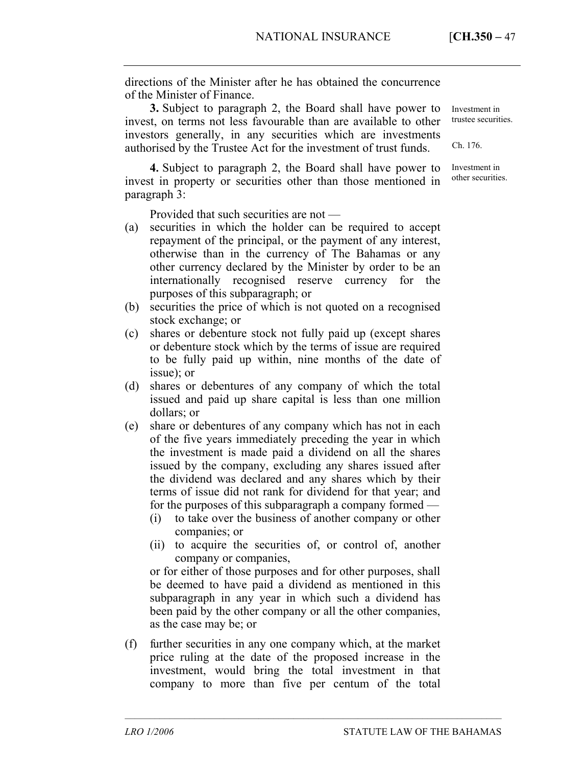directions of the Minister after he has obtained the concurrence of the Minister of Finance.

**3.** Subject to paragraph 2, the Board shall have power to invest, on terms not less favourable than are available to other investors generally, in any securities which are investments authorised by the Trustee Act for the investment of trust funds.

**4.** Subject to paragraph 2, the Board shall have power to invest in property or securities other than those mentioned in paragraph 3:

Provided that such securities are not —

- (a) securities in which the holder can be required to accept repayment of the principal, or the payment of any interest, otherwise than in the currency of The Bahamas or any other currency declared by the Minister by order to be an internationally recognised reserve currency for the purposes of this subparagraph; or
- (b) securities the price of which is not quoted on a recognised stock exchange; or
- (c) shares or debenture stock not fully paid up (except shares or debenture stock which by the terms of issue are required to be fully paid up within, nine months of the date of issue); or
- (d) shares or debentures of any company of which the total issued and paid up share capital is less than one million dollars; or
- (e) share or debentures of any company which has not in each of the five years immediately preceding the year in which the investment is made paid a dividend on all the shares issued by the company, excluding any shares issued after the dividend was declared and any shares which by their terms of issue did not rank for dividend for that year; and for the purposes of this subparagraph a company formed —
	- (i) to take over the business of another company or other companies; or
	- (ii) to acquire the securities of, or control of, another company or companies,

or for either of those purposes and for other purposes, shall be deemed to have paid a dividend as mentioned in this subparagraph in any year in which such a dividend has been paid by the other company or all the other companies, as the case may be; or

(f) further securities in any one company which, at the market price ruling at the date of the proposed increase in the investment, would bring the total investment in that company to more than five per centum of the total

––––––––––––––––––––––––––––––––––––––––––––––––––––––––––––––––––––––––––––

Investment in trustee securities.

Ch. 176.

Investment in other securities.